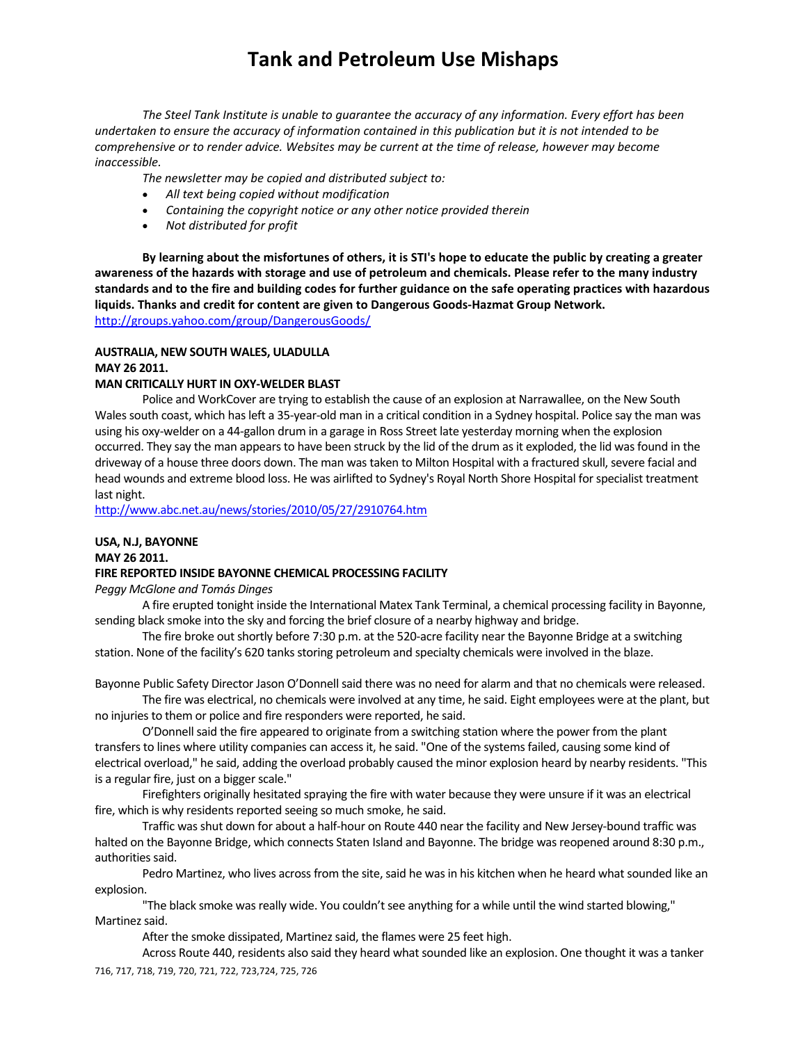*The Steel Tank Institute is unable to guarantee the accuracy of any information. Every effort has been* undertaken to ensure the accuracy of information contained in this publication but it is not intended to be *comprehensive or to render advice. Websites may be current at the time of release, however may become inaccessible.*

*The newsletter may be copied and distributed subject to:*

- *All text being copied without modification*
- *Containing the copyright notice or any other notice provided therein*
- *Not distributed for profit*

By learning about the misfortunes of others, it is STI's hope to educate the public by creating a greater awareness of the hazards with storage and use of petroleum and chemicals. Please refer to the many industry standards and to the fire and building codes for further guidance on the safe operating practices with hazardous **liquids. Thanks and credit for content are given to Dangerous Goods‐Hazmat Group Network.**  http://groups.yahoo.com/group/DangerousGoods/

### **AUSTRALIA, NEW SOUTH WALES, ULADULLA MAY 26 2011.**

## **MAN CRITICALLY HURT IN OXY‐WELDER BLAST**

Police and WorkCover are trying to establish the cause of an explosion at Narrawallee, on the New South Wales south coast, which has left a 35-year-old man in a critical condition in a Sydney hospital. Police say the man was using his oxy‐welder on a 44‐gallon drum in a garage in Ross Street late yesterday morning when the explosion occurred. They say the man appears to have been struck by the lid of the drum as it exploded, the lid was found in the driveway of a house three doors down. The man was taken to Milton Hospital with a fractured skull, severe facial and head wounds and extreme blood loss. He was airlifted to Sydney's Royal North Shore Hospital for specialist treatment last night.

http://www.abc.net.au/news/stories/2010/05/27/2910764.htm

### **USA, N.J, BAYONNE MAY 26 2011.**

### **FIRE REPORTED INSIDE BAYONNE CHEMICAL PROCESSING FACILITY**

*Peggy McGlone and Tomás Dinges*

A fire erupted tonight inside the International Matex Tank Terminal, a chemical processing facility in Bayonne, sending black smoke into the sky and forcing the brief closure of a nearby highway and bridge.

The fire broke out shortly before 7:30 p.m. at the 520-acre facility near the Bayonne Bridge at a switching station. None of the facility's 620 tanks storing petroleum and specialty chemicals were involved in the blaze.

Bayonne Public Safety Director Jason O'Donnell said there was no need for alarm and that no chemicals were released.

The fire was electrical, no chemicals were involved at any time, he said. Eight employees were at the plant, but no injuries to them or police and fire responders were reported, he said.

O'Donnellsaid the fire appeared to originate from a switching station where the power from the plant transfersto lines where utility companies can accessit, he said. "One of the systemsfailed, causing some kind of electrical overload," he said, adding the overload probably caused the minor explosion heard by nearby residents. "This is a regular fire, just on a bigger scale."

Firefighters originally hesitated spraying the fire with water because they were unsure if it was an electrical fire, which is why residents reported seeing so much smoke, he said.

Traffic wasshut down for about a half‐hour on Route 440 near the facility and New Jersey‐bound traffic was halted on the Bayonne Bridge, which connects Staten Island and Bayonne. The bridge was reopened around 8:30 p.m., authorities said.

Pedro Martinez, who lives across from the site, said he was in his kitchen when he heard what sounded like an explosion.

"The black smoke was really wide. You couldn't see anything for a while until the wind started blowing," Martinez said.

After the smoke dissipated, Martinez said, the flames were 25 feet high.

716, 717, 718, 719, 720, 721, 722, 723,724, 725, 726 Across Route 440, residents also said they heard what sounded like an explosion. One thought it was a tanker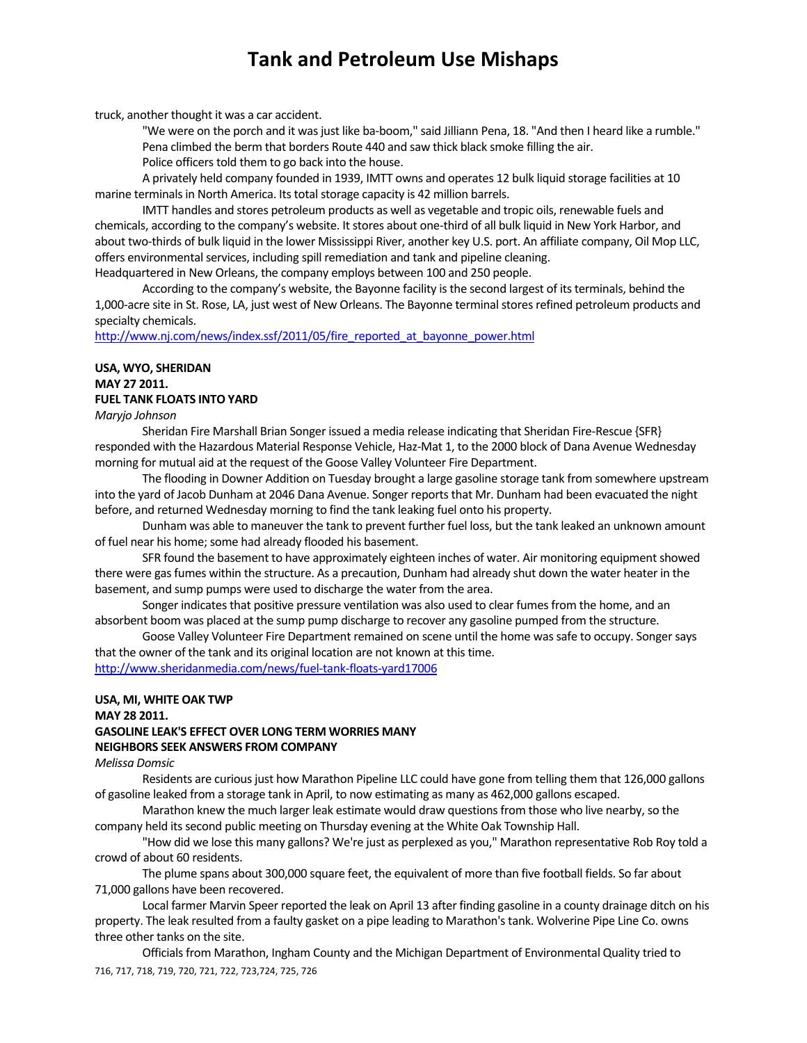truck, another thought it was a car accident.

"We were on the porch and it was just like ba-boom," said Jilliann Pena, 18. "And then I heard like a rumble." Pena climbed the berm that borders Route 440 and saw thick black smoke filling the air.

Police officers told them to go back into the house.

A privately held company founded in 1939, IMTT owns and operates 12 bulk liquid storage facilities at 10 marine terminals in North America. Its total storage capacity is 42 million barrels.

IMTT handles and stores petroleum products as well as vegetable and tropic oils, renewable fuels and chemicals, according to the company's website. It stores about one-third of all bulk liquid in New York Harbor, and about two-thirds of bulk liquid in the lower Mississippi River, another key U.S. port. An affiliate company, Oil Mop LLC, offers environmental services, including spill remediation and tank and pipeline cleaning. Headquartered in New Orleans, the company employs between 100 and 250 people.

According to the company's website, the Bayonne facility is the second largest of its terminals, behind the 1,000-acre site in St. Rose, LA, just west of New Orleans. The Bayonne terminal stores refined petroleum products and specialty chemicals.

http://www.nj.com/news/index.ssf/2011/05/fire\_reported\_at\_bayonne\_power.html

### **USA, WYO, SHERIDAN MAY 27 2011. FUEL TANK FLOATS INTO YARD**

*Maryjo Johnson*

Sheridan Fire Marshall Brian Songer issued a media release indicating that Sheridan Fire‐Rescue {SFR} responded with the Hazardous Material Response Vehicle, Haz‐Mat 1, to the 2000 block of Dana Avenue Wednesday morning for mutual aid at the request of the Goose Valley Volunteer Fire Department.

The flooding in Downer Addition on Tuesday brought a large gasoline storage tank from somewhere upstream into the yard of Jacob Dunham at 2046 Dana Avenue. Songer reportsthat Mr. Dunham had been evacuated the night before, and returned Wednesday morning to find the tank leaking fuel onto his property.

Dunham was able to maneuver the tank to prevent further fuel loss, but the tank leaked an unknown amount of fuel near his home; some had already flooded his basement.

SFR found the basement to have approximately eighteen inches of water. Air monitoring equipment showed there were gasfumes within the structure. As a precaution, Dunham had already shut down the water heater in the basement, and sump pumps were used to discharge the water from the area.

Songer indicates that positive pressure ventilation was also used to clear fumes from the home, and an absorbent boom was placed at the sump pump discharge to recover any gasoline pumped from the structure.

Goose Valley Volunteer Fire Department remained on scene until the home was safe to occupy. Songer says that the owner of the tank and its original location are not known at this time. http://www.sheridanmedia.com/news/fuel‐tank‐floats‐yard17006

**USA, MI, WHITE OAK TWP**

## **MAY 28 2011. GASOLINE LEAK'S EFFECT OVER LONG TERM WORRIES MANY NEIGHBORS SEEK ANSWERS FROM COMPANY**

*Melissa Domsic*

Residents are curious just how Marathon Pipeline LLC could have gone from telling them that 126,000 gallons of gasoline leaked from a storage tank in April, to now estimating as many as 462,000 gallons escaped.

Marathon knew the much larger leak estimate would draw questions from those who live nearby, so the company held itssecond public meeting on Thursday evening at the White Oak Township Hall.

"How did we lose this many gallons? We're just as perplexed as you," Marathon representative Rob Roy told a crowd of about 60 residents.

The plume spans about 300,000 square feet, the equivalent of more than five football fields. So far about 71,000 gallons have been recovered.

Local farmer Marvin Speer reported the leak on April 13 after finding gasoline in a county drainage ditch on his property. The leak resulted from a faulty gasket on a pipe leading to Marathon'stank. Wolverine Pipe Line Co. owns three other tanks on the site.

716, 717, 718, 719, 720, 721, 722, 723,724, 725, 726 Officials from Marathon, Ingham County and the Michigan Department of Environmental Quality tried to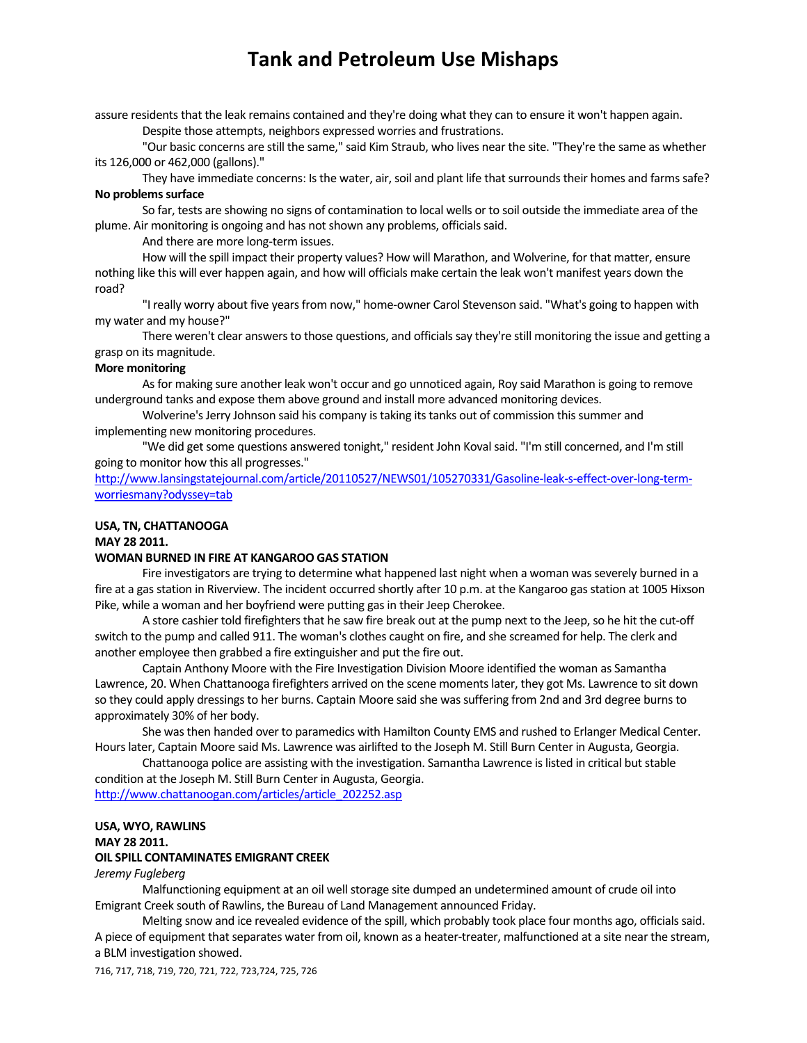assure residents that the leak remains contained and they're doing what they can to ensure it won't happen again. Despite those attempts, neighbors expressed worries and frustrations.

"Our basic concerns are still the same," said Kim Straub, who lives near the site. "They're the same as whether its 126,000 or 462,000 (gallons)."

They have immediate concerns: Is the water, air, soil and plant life that surrounds their homes and farms safe? **No** problems surface

So far, tests are showing no signs of contamination to local wells or to soil outside the immediate area of the plume. Air monitoring is ongoing and has not shown any problems, officials said.

And there are more long‐term issues.

How will the spill impact their property values? How will Marathon, and Wolverine, for that matter, ensure nothing like this will ever happen again, and how will officials make certain the leak won't manifest years down the road?

"I really worry about five years from now," home-owner Carol Stevenson said. "What's going to happen with my water and my house?"

There weren't clear answers to those questions, and officials say they're still monitoring the issue and getting a grasp on its magnitude.

### **More monitoring**

Asfor making sure another leak won't occur and go unnoticed again, Roy said Marathon is going to remove underground tanks and expose them above ground and install more advanced monitoring devices.

Wolverine's Jerry Johnson said his company is taking its tanks out of commission this summer and implementing new monitoring procedures.

"We did get some questions answered tonight," resident John Koval said. "I'm still concerned, and I'm still going to monitor how this all progresses."

http://www.lansingstatejournal.com/article/20110527/NEWS01/105270331/Gasoline-leak-s-effect-over-long-termworriesmany?odyssey=tab

### **USA, TN, CHATTANOOGA**

### **MAY 28 2011.**

### **WOMAN BURNED IN FIRE AT KANGAROO GAS STATION**

Fire investigators are trying to determine what happened last night when a woman was severely burned in a fire at a gas station in Riverview. The incident occurred shortly after 10 p.m. at the Kangaroo gas station at 1005 Hixson Pike, while a woman and her boyfriend were putting gas in their Jeep Cherokee.

A store cashier told firefighters that he saw fire break out at the pump next to the Jeep, so he hit the cut-off switch to the pump and called 911. The woman's clothes caught on fire, and she screamed for help. The clerk and another employee then grabbed a fire extinguisher and put the fire out.

Captain Anthony Moore with the Fire Investigation Division Moore identified the woman as Samantha Lawrence, 20. When Chattanooga firefighters arrived on the scene momentslater, they got Ms. Lawrence to sit down so they could apply dressings to her burns. Captain Moore said she was suffering from 2nd and 3rd degree burns to approximately 30% of her body.

She was then handed over to paramedics with Hamilton County EMS and rushed to Erlanger Medical Center. Hourslater, Captain Moore said Ms. Lawrence was airlifted to the Joseph M. Still Burn Center in Augusta, Georgia.

Chattanooga police are assisting with the investigation. Samantha Lawrence is listed in critical but stable condition at the Joseph M. Still Burn Center in Augusta, Georgia.

http://www.chattanoogan.com/articles/article\_202252.asp

### **USA, WYO, RAWLINS MAY 28 2011.**

### **OIL SPILL CONTAMINATES EMIGRANT CREEK**

*Jeremy Fugleberg*

Malfunctioning equipment at an oil well storage site dumped an undetermined amount of crude oil into Emigrant Creek south of Rawlins, the Bureau of Land Management announced Friday.

Melting snow and ice revealed evidence of the spill, which probably took place four months ago, officials said. A piece of equipment that separates water from oil, known as a heater-treater, malfunctioned at a site near the stream, a BLM investigation showed.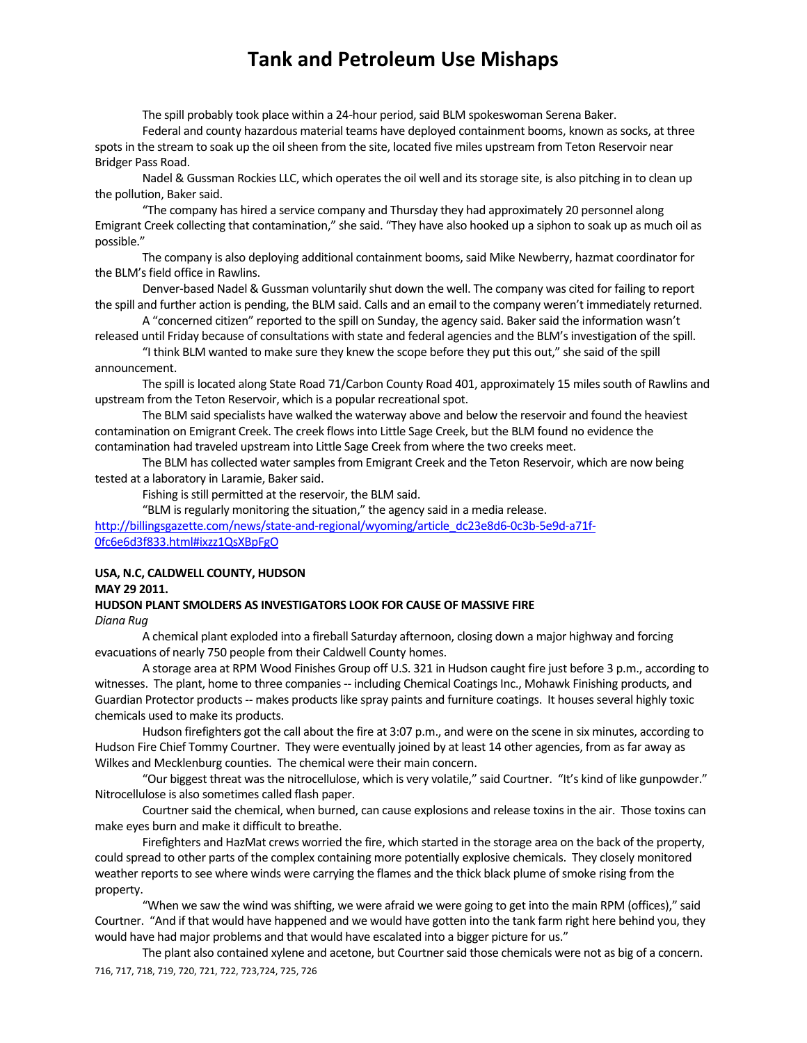The spill probably took place within a 24-hour period, said BLM spokeswoman Serena Baker.

Federal and county hazardous material teams have deployed containment booms, known as socks, at three spots in the stream to soak up the oil sheen from the site, located five miles upstream from Teton Reservoir near Bridger Pass Road.

Nadel & Gussman Rockies LLC, which operates the oil well and its storage site, is also pitching in to clean up the pollution, Baker said.

"The company has hired a service company and Thursday they had approximately 20 personnel along Emigrant Creek collecting that contamination," she said. "They have also hooked up a siphon to soak up as much oil as possible."

The company is also deploying additional containment booms, said Mike Newberry, hazmat coordinator for the BLM's field office in Rawlins.

Denver‐based Nadel & Gussman voluntarily shut down the well. The company was cited for failing to report the spill and further action is pending, the BLM said. Calls and an email to the company weren't immediately returned.

A "concerned citizen" reported to the spill on Sunday, the agency said. Bakersaid the information wasn't released until Friday because of consultations with state and federal agencies and the BLM's investigation of the spill.

"I think BLM wanted to make sure they knew the scope before they put this out," she said of the spill announcement.

The spill is located along State Road 71/Carbon County Road 401, approximately 15 miles south of Rawlins and upstream from the Teton Reservoir, which is a popular recreational spot.

The BLM said specialists have walked the waterway above and below the reservoir and found the heaviest contamination on Emigrant Creek. The creek flowsinto Little Sage Creek, but the BLM found no evidence the contamination had traveled upstream into Little Sage Creek from where the two creeks meet.

The BLM has collected water samples from Emigrant Creek and the Teton Reservoir, which are now being tested at a laboratory in Laramie, Baker said.

Fishing is still permitted at the reservoir, the BLM said.

"BLM is regularly monitoring the situation," the agency said in a media release.

http://billingsgazette.com/news/state-and-regional/wyoming/article\_dc23e8d6-0c3b-5e9d-a71f-0fc6e6d3f833.html#ixzz1QsXBpFgO

## **USA, N.C, CALDWELL COUNTY, HUDSON**

**MAY 29 2011.**

### **HUDSON PLANT SMOLDERS AS INVESTIGATORS LOOK FOR CAUSE OF MASSIVE FIRE** *Diana Rug*

A chemical plant exploded into a fireball Saturday afternoon, closing down a major highway and forcing evacuations of nearly 750 people from their Caldwell County homes.

A storage area at RPM Wood Finishes Group off U.S. 321 in Hudson caught fire just before 3 p.m., according to witnesses. The plant, home to three companies -- including Chemical Coatings Inc., Mohawk Finishing products, and Guardian Protector products -- makes products like spray paints and furniture coatings. It houses several highly toxic chemicals used to make its products.

Hudson firefighters got the call about the fire at 3:07 p.m., and were on the scene in six minutes, according to Hudson Fire Chief Tommy Courtner. They were eventually joined by at least 14 other agencies, from as far away as Wilkes and Mecklenburg counties. The chemical were their main concern.

"Our biggest threat wasthe nitrocellulose, which is very volatile," said Courtner. "It's kind of like gunpowder." Nitrocellulose is also sometimes called flash paper.

Courtner said the chemical, when burned, can cause explosions and release toxins in the air. Those toxins can make eyes burn and make it difficult to breathe.

Firefighters and HazMat crews worried the fire, which started in the storage area on the back of the property, could spread to other parts of the complex containing more potentially explosive chemicals. They closely monitored weather reports to see where winds were carrying the flames and the thick black plume of smoke rising from the property.

"When we saw the wind wasshifting, we were afraid we were going to get into the main RPM (offices)," said Courtner. "And if that would have happened and we would have gotten into the tank farm right here behind you, they would have had major problems and that would have escalated into a bigger picture for us."

716, 717, 718, 719, 720, 721, 722, 723,724, 725, 726 The plant also contained xylene and acetone, but Courtner said those chemicals were not as big of a concern.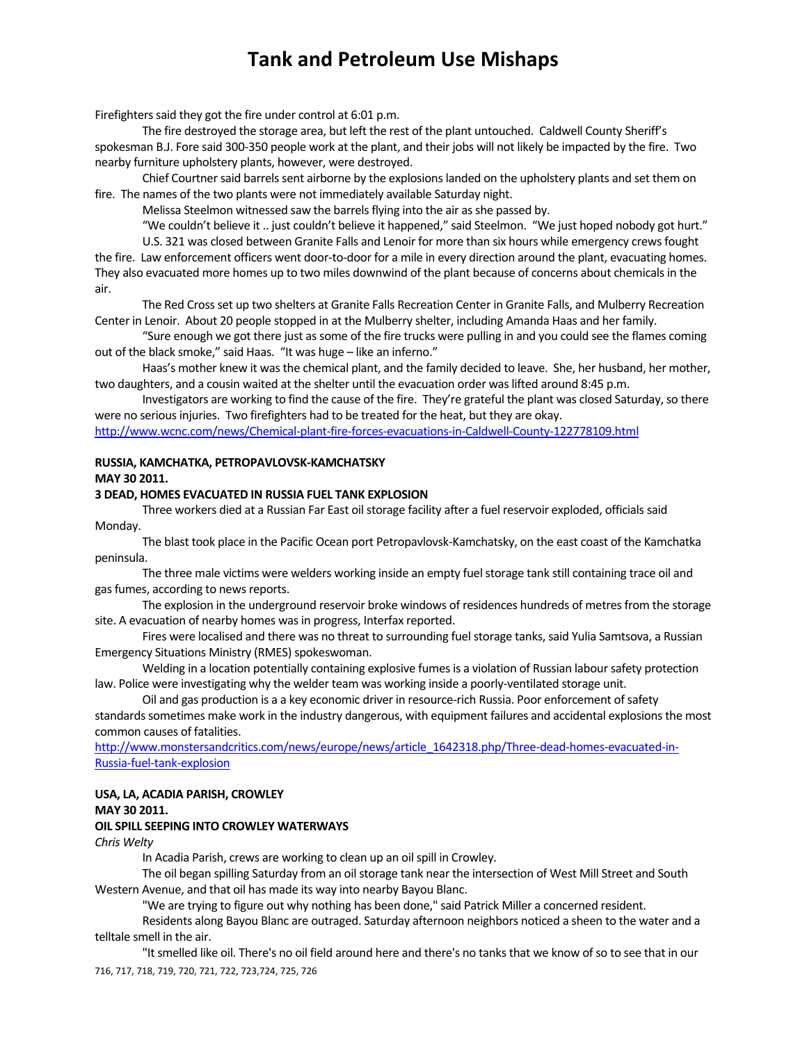Firefighters said they got the fire under control at 6:01 p.m.

The fire destroyed the storage area, but left the rest of the plant untouched. Caldwell County Sheriff's spokesman B.J. Fore said 300-350 people work at the plant, and their jobs will not likely be impacted by the fire. Two nearby furniture upholstery plants, however, were destroyed.

Chief Courtner said barrels sent airborne by the explosions landed on the upholstery plants and set them on fire. The names of the two plants were not immediately available Saturday night.

Melissa Steelmon witnessed saw the barrels flying into the air as she passed by.

"We couldn't believe it .. just couldn't believe it happened," said Steelmon. "We just hoped nobody got hurt."

U.S. 321 was closed between Granite Falls and Lenoir for more than six hours while emergency crewsfought the fire. Law enforcement officers went door-to-door for a mile in every direction around the plant, evacuating homes. They also evacuated more homes up to two miles downwind of the plant because of concerns about chemicals in the air.

The Red Crossset up two shelters at Granite Falls Recreation Center in Granite Falls, and Mulberry Recreation Center in Lenoir. About 20 people stopped in at the Mulberry shelter, including Amanda Haas and her family.

"Sure enough we got there just assome of the fire trucks were pulling in and you could see the flames coming out of the black smoke," said Haas. "It was huge – like an inferno."

Haas's mother knew it was the chemical plant, and the family decided to leave. She, her husband, her mother, two daughters, and a cousin waited at the shelter until the evacuation order was lifted around 8:45 p.m.

Investigators are working to find the cause of the fire. They're grateful the plant was closed Saturday, so there were no serious injuries. Two firefighters had to be treated for the heat, but they are okay.

http://www.wcnc.com/news/Chemical-plant-fire-forces-evacuations-in-Caldwell-County-122778109.html

## **RUSSIA, KAMCHATKA, PETROPAVLOVSK‐KAMCHATSKY**

**MAY 30 2011.** 

### **3 DEAD, HOMES EVACUATED IN RUSSIA FUEL TANK EXPLOSION**

Three workers died at a Russian Far East oil storage facility after a fuel reservoir exploded, officials said Monday.

The blast took place in the Pacific Ocean port Petropavlovsk‐Kamchatsky, on the east coast of the Kamchatka peninsula.

The three male victims were welders working inside an empty fuel storage tank still containing trace oil and gas fumes, according to news reports.

The explosion in the underground reservoir broke windows of residences hundreds of metresfrom the storage site. A evacuation of nearby homes was in progress, Interfax reported.

Fires were localised and there was no threat to surrounding fuel storage tanks, said Yulia Samtsova, a Russian Emergency Situations Ministry (RMES) spokeswoman.

Welding in a location potentially containing explosive fumes is a violation of Russian labour safety protection law. Police were investigating why the welder team was working inside a poorly-ventilated storage unit.

Oil and gas production is a a key economic driver in resource-rich Russia. Poor enforcement of safety standards sometimes make work in the industry dangerous, with equipment failures and accidental explosions the most common causes of fatalities.

http://www.monstersandcritics.com/news/europe/news/article\_1642318.php/Three-dead-homes-evacuated-in-Russia‐fuel‐tank‐explosion

### **USA, LA, ACADIA PARISH, CROWLEY MAY 30 2011.**

### **OIL SPILL SEEPING INTO CROWLEY WATERWAYS**

### *Chris Welty*

In Acadia Parish, crews are working to clean up an oil spill in Crowley.

The oil began spilling Saturday from an oil storage tank near the intersection of West Mill Street and South Western Avenue, and that oil has made its way into nearby Bayou Blanc.

"We are trying to figure out why nothing has been done," said Patrick Miller a concerned resident.

Residents along Bayou Blanc are outraged. Saturday afternoon neighbors noticed a sheen to the water and a telltale smell in the air.

716, 717, 718, 719, 720, 721, 722, 723,724, 725, 726 "It smelled like oil. There's no oil field around here and there's no tanks that we know of so to see that in our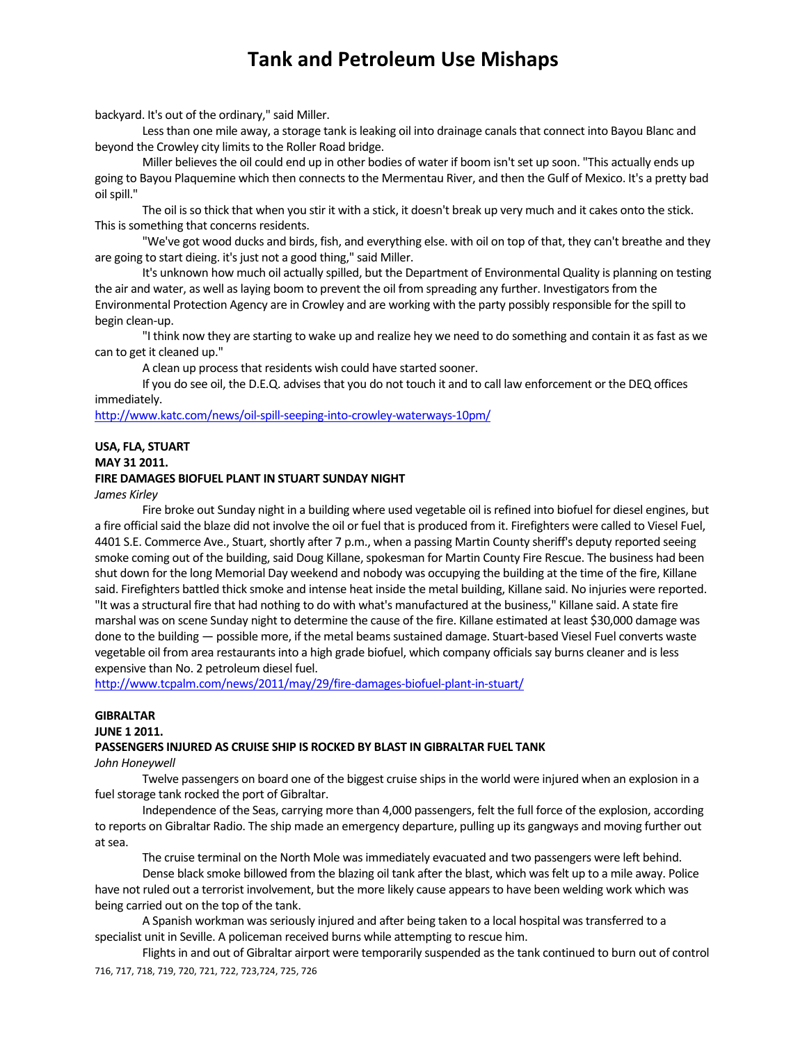backyard. It's out of the ordinary," said Miller.

Less than one mile away, a storage tank is leaking oil into drainage canals that connect into Bayou Blanc and beyond the Crowley city limits to the Roller Road bridge.

Miller believes the oil could end up in other bodies of water if boom isn't set up soon. "This actually ends up going to Bayou Plaquemine which then connectsto the Mermentau River, and then the Gulf of Mexico. It's a pretty bad oil spill."

The oil is so thick that when you stir it with a stick, it doesn't break up very much and it cakes onto the stick. This is something that concerns residents.

"We've got wood ducks and birds, fish, and everything else. with oil on top of that, they can't breathe and they are going to start dieing. it's just not a good thing," said Miller.

It's unknown how much oil actually spilled, but the Department of Environmental Quality is planning on testing the air and water, as well as laying boom to prevent the oil from spreading any further. Investigators from the Environmental Protection Agency are in Crowley and are working with the party possibly responsible for the spill to begin clean‐up.

"I think now they are starting to wake up and realize hey we need to do something and contain it asfast as we can to get it cleaned up."

A clean up process that residents wish could have started sooner.

If you do see oil, the D.E.Q. advises that you do not touch it and to call law enforcement or the DEQ offices immediately.

http://www.katc.com/news/oil-spill-seeping-into-crowley-waterways-10pm/

## **USA, FLA, STUART MAY 31 2011.**

### **FIRE DAMAGES BIOFUEL PLANT IN STUART SUNDAY NIGHT**

### *James Kirley*

Fire broke out Sunday night in a building where used vegetable oil isrefined into biofuel for diesel engines, but a fire official said the blaze did not involve the oil or fuel that is produced from it. Firefighters were called to Viesel Fuel, 4401 S.E. Commerce Ave., Stuart, shortly after 7 p.m., when a passing Martin County sheriff's deputy reported seeing smoke coming out of the building, said Doug Killane, spokesman for Martin County Fire Rescue. The business had been shut down for the long Memorial Day weekend and nobody was occupying the building at the time of the fire, Killane said. Firefighters battled thick smoke and intense heat inside the metal building, Killane said. No injuries were reported. "It was a structural fire that had nothing to do with what's manufactured at the business," Killane said. A state fire marshal was on scene Sunday night to determine the cause of the fire. Killane estimated at least \$30,000 damage was done to the building — possible more, if the metal beams sustained damage. Stuart-based Viesel Fuel converts waste vegetable oil from area restaurants into a high grade biofuel, which company officials say burns cleaner and is less expensive than No. 2 petroleum diesel fuel.

http://www.tcpalm.com/news/2011/may/29/fire-damages-biofuel-plant-in-stuart/

### **GIBRALTAR**

### **JUNE 1 2011.**

### **PASSENGERS INJURED AS CRUISE SHIP IS ROCKED BY BLAST IN GIBRALTAR FUEL TANK**

*John Honeywell*

Twelve passengers on board one of the biggest cruise ships in the world were injured when an explosion in a fuel storage tank rocked the port of Gibraltar.

Independence of the Seas, carrying more than 4,000 passengers, felt the full force of the explosion, according to reports on Gibraltar Radio. The ship made an emergency departure, pulling up its gangways and moving further out at sea.

The cruise terminal on the North Mole wasimmediately evacuated and two passengers were left behind.

Dense black smoke billowed from the blazing oil tank after the blast, which wasfelt up to a mile away. Police have not ruled out a terrorist involvement, but the more likely cause appears to have been welding work which was being carried out on the top of the tank.

A Spanish workman was seriously injured and after being taken to a local hospital was transferred to a specialist unit in Seville. A policeman received burns while attempting to rescue him.

716, 717, 718, 719, 720, 721, 722, 723,724, 725, 726 Flights in and out of Gibraltar airport were temporarily suspended as the tank continued to burn out of control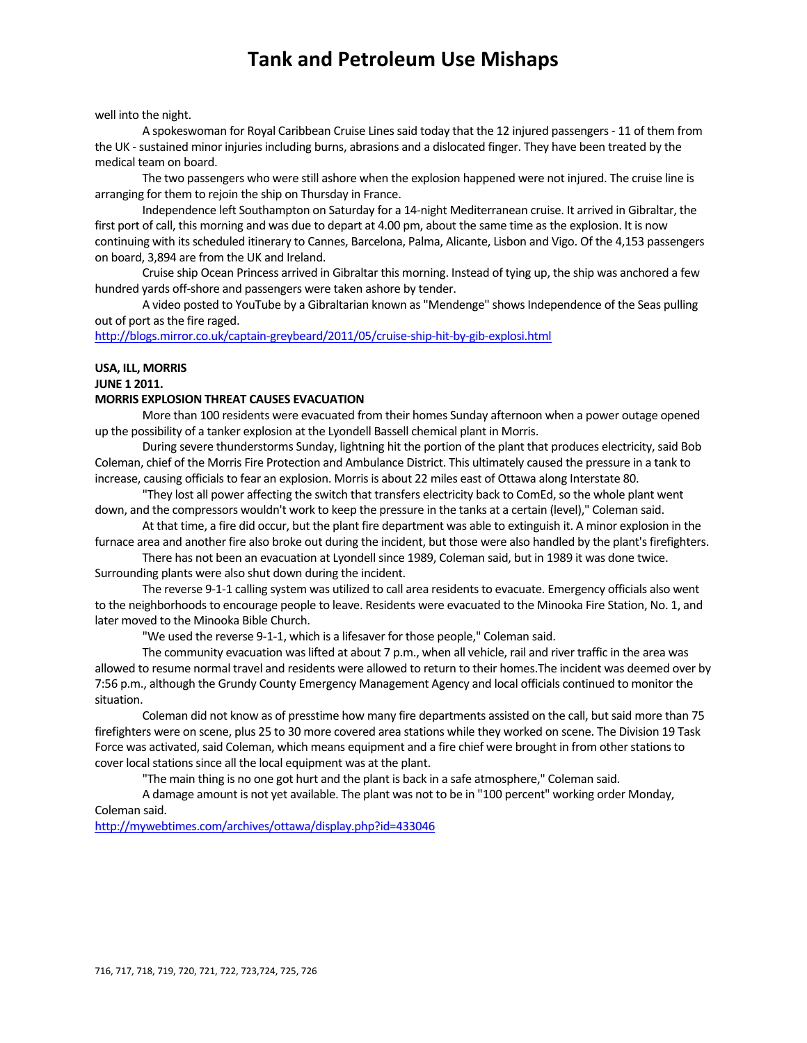well into the night.

A spokeswoman for Royal Caribbean Cruise Lines said today that the 12 injured passengers - 11 of them from the UK - sustained minor injuries including burns, abrasions and a dislocated finger. They have been treated by the medical team on board.

The two passengers who were still ashore when the explosion happened were not injured. The cruise line is arranging for them to rejoin the ship on Thursday in France.

Independence left Southampton on Saturday for a 14‐night Mediterranean cruise. It arrived in Gibraltar, the first port of call, this morning and was due to depart at 4.00 pm, about the same time as the explosion. It is now continuing with its scheduled itinerary to Cannes, Barcelona, Palma, Alicante, Lisbon and Vigo. Of the 4,153 passengers on board, 3,894 are from the UK and Ireland.

Cruise ship Ocean Princess arrived in Gibraltar this morning. Instead of tying up, the ship was anchored a few hundred yards off‐shore and passengers were taken ashore by tender.

A video posted to YouTube by a Gibraltarian known as "Mendenge" shows Independence of the Seas pulling out of port as the fire raged.

http://blogs.mirror.co.uk/captain‐greybeard/2011/05/cruise‐ship‐hit‐by‐gib‐explosi.html

### **USA, ILL, MORRIS JUNE 1 2011.**

### **MORRIS EXPLOSION THREAT CAUSES EVACUATION**

More than 100 residents were evacuated from their homes Sunday afternoon when a power outage opened up the possibility of a tanker explosion at the Lyondell Bassell chemical plant in Morris.

During severe thunderstorms Sunday, lightning hit the portion of the plant that produces electricity, said Bob Coleman, chief of the Morris Fire Protection and Ambulance District. This ultimately caused the pressure in a tank to increase, causing officials to fear an explosion. Morris is about 22 miles east of Ottawa along Interstate 80.

"They lost all power affecting the switch that transfers electricity back to ComEd, so the whole plant went down, and the compressors wouldn't work to keep the pressure in the tanks at a certain (level)," Coleman said.

At that time, a fire did occur, but the plant fire department was able to extinguish it. A minor explosion in the furnace area and another fire also broke out during the incident, but those were also handled by the plant's firefighters.

There has not been an evacuation at Lyondell since 1989, Coleman said, but in 1989 it was done twice. Surrounding plants were also shut down during the incident.

The reverse 9-1-1 calling system was utilized to call area residents to evacuate. Emergency officials also went to the neighborhoods to encourage people to leave. Residents were evacuated to the Minooka Fire Station, No. 1, and later moved to the Minooka Bible Church.

"We used the reverse 9-1-1, which is a lifesaver for those people," Coleman said.

The community evacuation waslifted at about 7 p.m., when all vehicle, rail and river traffic in the area was allowed to resume normal travel and residents were allowed to return to their homes.The incident was deemed over by 7:56 p.m., although the Grundy County Emergency Management Agency and local officials continued to monitor the situation.

Coleman did not know as of presstime how many fire departments assisted on the call, but said more than 75 firefighters were on scene, plus 25 to 30 more covered area stations while they worked on scene. The Division 19 Task Force was activated, said Coleman, which means equipment and a fire chief were brought in from other stations to cover local stations since all the local equipment was at the plant.

"The main thing is no one got hurt and the plant is back in a safe atmosphere," Coleman said.

A damage amount is not yet available. The plant was not to be in "100 percent" working order Monday, Coleman said.

http://mywebtimes.com/archives/ottawa/display.php?id=433046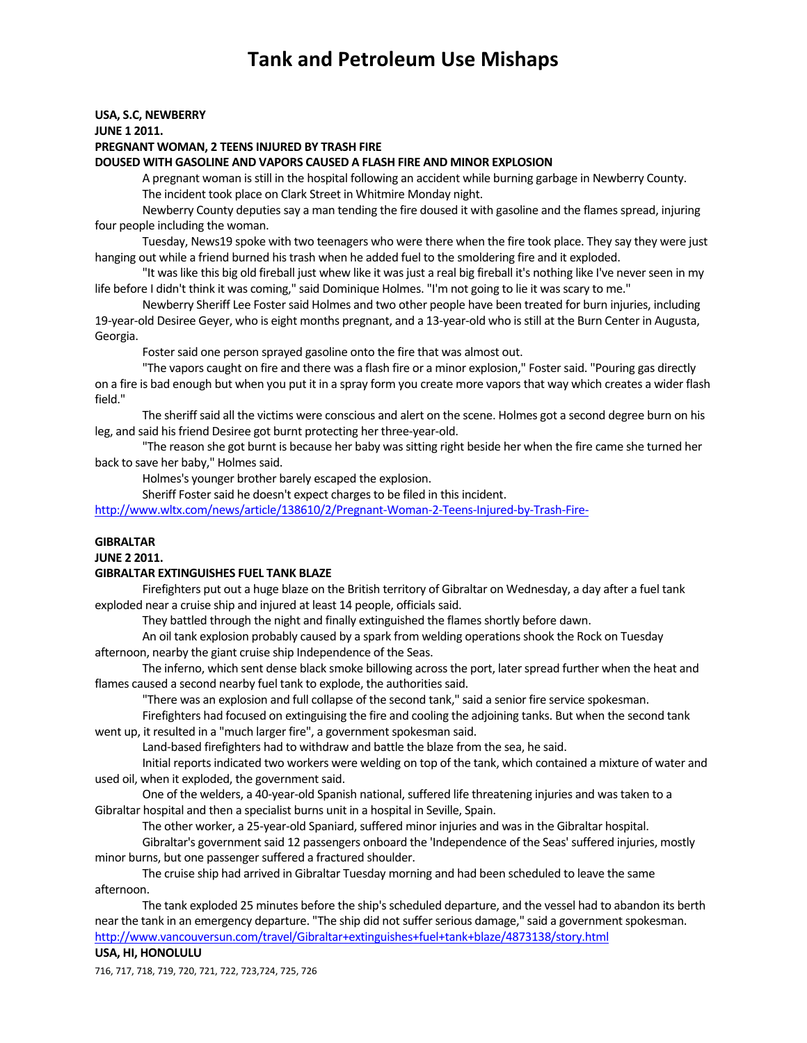## **USA, S.C, NEWBERRY JUNE 1 2011. PREGNANT WOMAN, 2 TEENS INJURED BY TRASH FIRE**

**DOUSED WITH GASOLINE AND VAPORS CAUSED A FLASH FIRE AND MINOR EXPLOSION**

A pregnant woman isstill in the hospital following an accident while burning garbage in Newberry County. The incident took place on Clark Street in Whitmire Monday night.

Newberry County deputies say a man tending the fire doused it with gasoline and the flames spread, injuring four people including the woman.

Tuesday, News19 spoke with two teenagers who were there when the fire took place. They say they were just hanging out while a friend burned histrash when he added fuel to the smoldering fire and it exploded.

"It was like this big old fireball just whew like it was just a real big fireball it's nothing like I've never seen in my life before I didn't think it was coming," said Dominique Holmes. "I'm not going to lie it was scary to me."

Newberry Sheriff Lee Foster said Holmes and two other people have been treated for burn injuries, including 19-year-old Desiree Geyer, who is eight months pregnant, and a 13-year-old who is still at the Burn Center in Augusta, Georgia.

Foster said one person sprayed gasoline onto the fire that was almost out.

"The vapors caught on fire and there was a flash fire or a minor explosion," Fostersaid. "Pouring gas directly on a fire is bad enough but when you put it in a spray form you create more vapors that way which creates a wider flash field."

The sheriff said all the victims were conscious and alert on the scene. Holmes got a second degree burn on his leg, and said his friend Desiree got burnt protecting her three-year-old.

"The reason she got burnt is because her baby was sitting right beside her when the fire came she turned her back to save her baby," Holmes said.

Holmes's younger brother barely escaped the explosion.

Sheriff Foster said he doesn't expect charges to be filed in this incident.

http://www.wltx.com/news/article/138610/2/Pregnant‐Woman‐2‐Teens‐Injured‐by‐Trash‐Fire‐

## **GIBRALTAR**

**JUNE 2 2011.** 

### **GIBRALTAR EXTINGUISHES FUEL TANK BLAZE**

Firefighters put out a huge blaze on the British territory of Gibraltar on Wednesday, a day after a fuel tank exploded near a cruise ship and injured at least 14 people, officials said.

They battled through the night and finally extinguished the flames shortly before dawn.

An oil tank explosion probably caused by a spark from welding operationsshook the Rock on Tuesday afternoon, nearby the giant cruise ship Independence of the Seas.

The inferno, which sent dense black smoke billowing across the port, later spread further when the heat and flames caused a second nearby fuel tank to explode, the authorities said.

"There was an explosion and full collapse of the second tank," said a senior fire service spokesman.

Firefighters had focused on extinguising the fire and cooling the adjoining tanks. But when the second tank went up, it resulted in a "much larger fire", a government spokesman said.

Land‐based firefighters had to withdraw and battle the blaze from the sea, he said.

Initial reportsindicated two workers were welding on top of the tank, which contained a mixture of water and used oil, when it exploded, the government said.

One of the welders, a 40‐year‐old Spanish national, suffered life threatening injuries and wastaken to a Gibraltar hospital and then a specialist burns unit in a hospital in Seville, Spain.

The other worker, a 25-year-old Spaniard, suffered minor injuries and was in the Gibraltar hospital.

Gibraltar's government said 12 passengers onboard the 'Independence of the Seas' suffered injuries, mostly minor burns, but one passenger suffered a fractured shoulder.

The cruise ship had arrived in Gibraltar Tuesday morning and had been scheduled to leave the same afternoon.

The tank exploded 25 minutes before the ship's scheduled departure, and the vessel had to abandon its berth near the tank in an emergency departure. "The ship did not suffer serious damage," said a government spokesman. http://www.vancouversun.com/travel/Gibraltar+extinguishes+fuel+tank+blaze/4873138/story.html

**USA, HI, HONOLULU**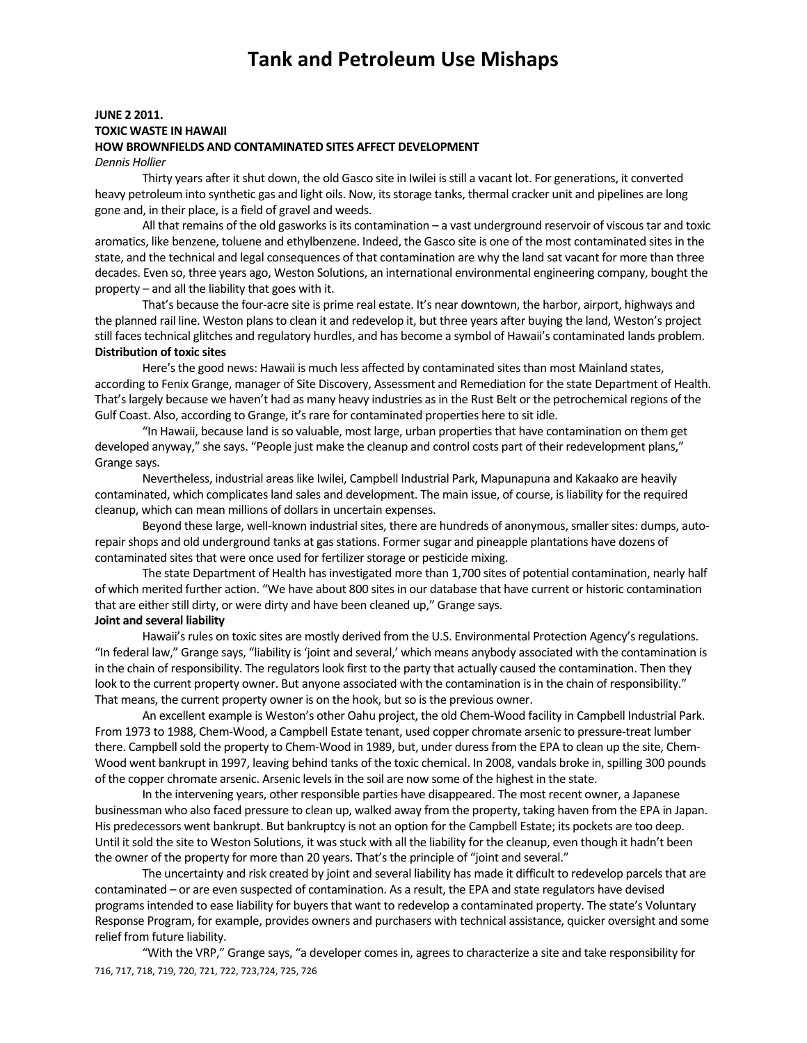### **JUNE 2 2011. TOXIC WASTE IN HAWAII HOW BROWNFIELDS AND CONTAMINATED SITES AFFECT DEVELOPMENT**

#### *Dennis Hollier*

Thirty years after it shut down, the old Gasco site in Iwilei is still a vacant lot. For generations, it converted heavy petroleum into synthetic gas and light oils. Now, itsstorage tanks, thermal cracker unit and pipelines are long gone and, in their place, is a field of gravel and weeds.

All that remains of the old gasworks is its contamination – a vast underground reservoir of viscous tar and toxic aromatics, like benzene, toluene and ethylbenzene. Indeed, the Gasco site is one of the most contaminated sitesin the state, and the technical and legal consequences of that contamination are why the land sat vacant for more than three decades. Even so, three years ago, Weston Solutions, an international environmental engineering company, bought the property – and all the liability that goes with it.

That's because the four‐acre site is prime real estate. It's near downtown, the harbor, airport, highways and the planned rail line. Weston plansto clean it and redevelop it, but three years after buying the land, Weston's project still faces technical glitches and regulatory hurdles, and has become a symbol of Hawaii's contaminated lands problem. **Distribution of toxic sites**

Here's the good news: Hawaii is much less affected by contaminated sites than most Mainland states, according to Fenix Grange, manager of Site Discovery, Assessment and Remediation for the state Department of Health. That's largely because we haven't had as many heavy industries as in the Rust Belt or the petrochemical regions of the Gulf Coast. Also, according to Grange, it's rare for contaminated properties here to sit idle.

"In Hawaii, because land is so valuable, most large, urban properties that have contamination on them get developed anyway," she says. "People just make the cleanup and control costs part of their redevelopment plans," Grange says.

Nevertheless, industrial areaslike Iwilei, Campbell Industrial Park, Mapunapuna and Kakaako are heavily contaminated, which complicatesland sales and development. The main issue, of course, isliability for the required cleanup, which can mean millions of dollars in uncertain expenses.

Beyond these large, well-known industrial sites, there are hundreds of anonymous, smaller sites: dumps, autorepair shops and old underground tanks at gas stations. Former sugar and pineapple plantations have dozens of contaminated sites that were once used for fertilizer storage or pesticide mixing.

The state Department of Health has investigated more than 1,700 sites of potential contamination, nearly half of which merited further action. "We have about 800 sitesin our database that have current or historic contamination that are either still dirty, or were dirty and have been cleaned up," Grange says.

### **Joint and several liability**

Hawaii's rules on toxic sites are mostly derived from the U.S. Environmental Protection Agency's regulations. "In federal law," Grange says, "liability is'joint and several,' which means anybody associated with the contamination is in the chain of responsibility. The regulators look first to the party that actually caused the contamination. Then they look to the current property owner. But anyone associated with the contamination is in the chain of responsibility." That means, the current property owner is on the hook, but so is the previous owner.

An excellent example is Weston's other Oahu project, the old Chem‐Wood facility in Campbell Industrial Park. From 1973 to 1988, Chem‐Wood, a Campbell Estate tenant, used copper chromate arsenic to pressure‐treat lumber there. Campbell sold the property to Chem-Wood in 1989, but, under duress from the EPA to clean up the site, Chem-Wood went bankrupt in 1997, leaving behind tanks of the toxic chemical. In 2008, vandals broke in, spilling 300 pounds of the copper chromate arsenic. Arsenic levelsin the soil are now some of the highest in the state.

In the intervening years, other responsible parties have disappeared. The most recent owner, a Japanese businessman who also faced pressure to clean up, walked away from the property, taking haven from the EPA in Japan. His predecessors went bankrupt. But bankruptcy is not an option for the Campbell Estate; its pockets are too deep. Until itsold the site to Weston Solutions, it wasstuck with all the liability for the cleanup, even though it hadn't been the owner of the property for more than 20 years. That's the principle of "joint and several."

The uncertainty and risk created by joint and several liability has made it difficult to redevelop parcelsthat are contaminated – or are even suspected of contamination. As a result, the EPA and state regulators have devised programs intended to ease liability for buyers that want to redevelop a contaminated property. The state's Voluntary Response Program, for example, provides owners and purchasers with technical assistance, quicker oversight and some relief from future liability.

716, 717, 718, 719, 720, 721, 722, 723,724, 725, 726 "With the VRP," Grange says, "a developer comesin, agreesto characterize a site and take responsibility for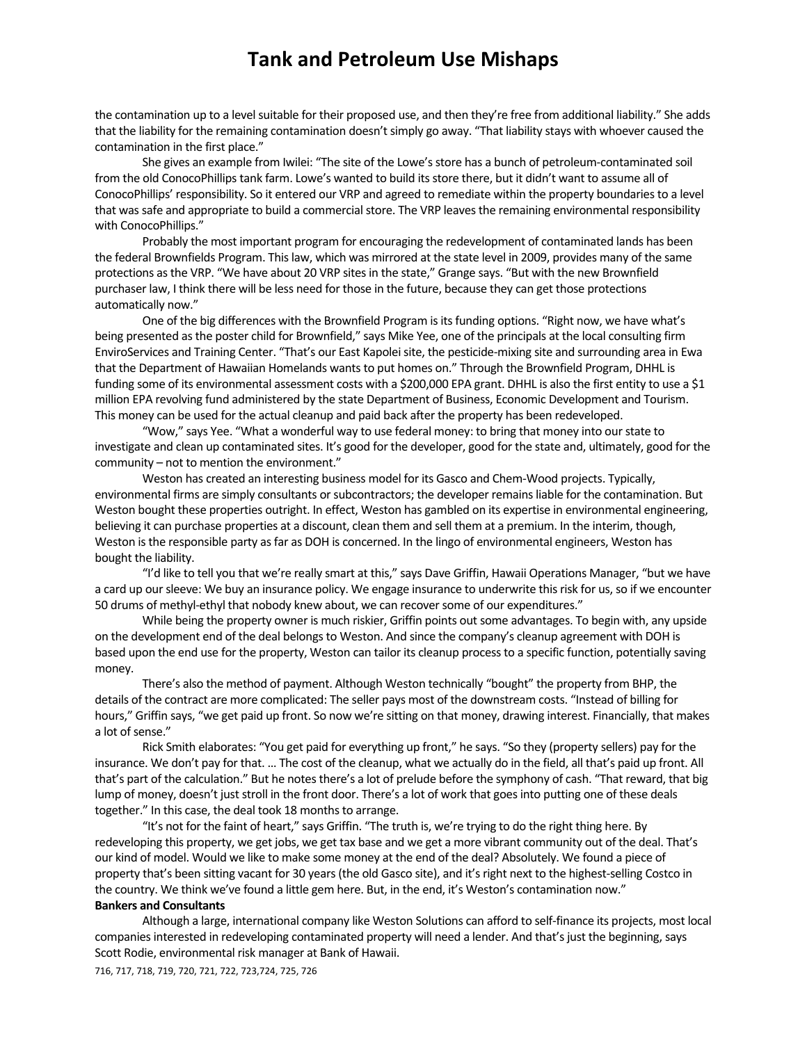the contamination up to a level suitable for their proposed use, and then they're free from additional liability." She adds that the liability for the remaining contamination doesn't simply go away. "That liability stays with whoever caused the contamination in the first place."

She gives an example from Iwilei: "The site of the Lowe's store has a bunch of petroleum-contaminated soil from the old ConocoPhillipstank farm. Lowe's wanted to build itsstore there, but it didn't want to assume all of ConocoPhillips' responsibility. So it entered our VRP and agreed to remediate within the property boundaries to a level that was safe and appropriate to build a commercial store. The VRP leaves the remaining environmental responsibility with ConocoPhillips."

Probably the most important program for encouraging the redevelopment of contaminated lands has been the federal Brownfields Program. Thislaw, which was mirrored at the state level in 2009, provides many of the same protections as the VRP. "We have about 20 VRP sites in the state," Grange says. "But with the new Brownfield purchaser law, I think there will be less need for those in the future, because they can get those protections automatically now."

One of the big differences with the Brownfield Program is its funding options. "Right now, we have what's being presented asthe poster child for Brownfield," says Mike Yee, one of the principals at the local consulting firm EnviroServices and Training Center. "That's our East Kapoleisite, the pesticide‐mixing site and surrounding area in Ewa that the Department of Hawaiian Homelands wants to put homes on." Through the Brownfield Program, DHHL is funding some of its environmental assessment costs with a \$200,000 EPA grant. DHHL is also the first entity to use a \$1 million EPA revolving fund administered by the state Department of Business, Economic Development and Tourism. This money can be used for the actual cleanup and paid back after the property has been redeveloped.

"Wow," says Yee. "What a wonderful way to use federal money: to bring that money into ourstate to investigate and clean up contaminated sites. It's good for the developer, good for the state and, ultimately, good for the community – not to mention the environment."

Weston has created an interesting business model for its Gasco and Chem‐Wood projects. Typically, environmental firms are simply consultants or subcontractors; the developer remains liable for the contamination. But Weston bought these properties outright. In effect, Weston has gambled on its expertise in environmental engineering, believing it can purchase properties at a discount, clean them and sell them at a premium. In the interim, though, Weston is the responsible party as far as DOH is concerned. In the lingo of environmental engineers, Weston has bought the liability.

"I'd like to tell you that we're really smart at this," says Dave Griffin, Hawaii Operations Manager, "but we have a card up our sleeve: We buy an insurance policy. We engage insurance to underwrite this risk for us, so if we encounter 50 drums of methyl-ethyl that nobody knew about, we can recover some of our expenditures."

While being the property owner is much riskier, Griffin points out some advantages. To begin with, any upside on the development end of the deal belongs to Weston. And since the company's cleanup agreement with DOH is based upon the end use for the property, Weston can tailor its cleanup processto a specific function, potentially saving money.

There's also the method of payment. Although Weston technically "bought" the property from BHP, the details of the contract are more complicated: The seller pays most of the downstream costs. "Instead of billing for hours," Griffin says, "we get paid up front. So now we're sitting on that money, drawing interest. Financially, that makes a lot of sense."

Rick Smith elaborates: "You get paid for everything up front," he says. "So they (property sellers) pay for the insurance. We don't pay for that. … The cost of the cleanup, what we actually do in the field, all that's paid up front. All that's part of the calculation." But he notes there's a lot of prelude before the symphony of cash. "That reward, that big lump of money, doesn't just stroll in the front door. There's a lot of work that goes into putting one of these deals together." In this case, the deal took 18 months to arrange.

"It's not for the faint of heart," says Griffin. "The truth is, we're trying to do the right thing here. By redeveloping this property, we get jobs, we get tax base and we get a more vibrant community out of the deal. That's our kind of model. Would we like to make some money at the end of the deal? Absolutely. We found a piece of property that's been sitting vacant for 30 years (the old Gasco site), and it's right next to the highest-selling Costco in the country. We think we've found a little gem here. But, in the end, it's Weston's contamination now." **Bankers and Consultants**

Although a large, international company like Weston Solutions can afford to self‐finance its projects, most local companies interested in redeveloping contaminated property will need a lender. And that's just the beginning, says Scott Rodie, environmental risk manager at Bank of Hawaii.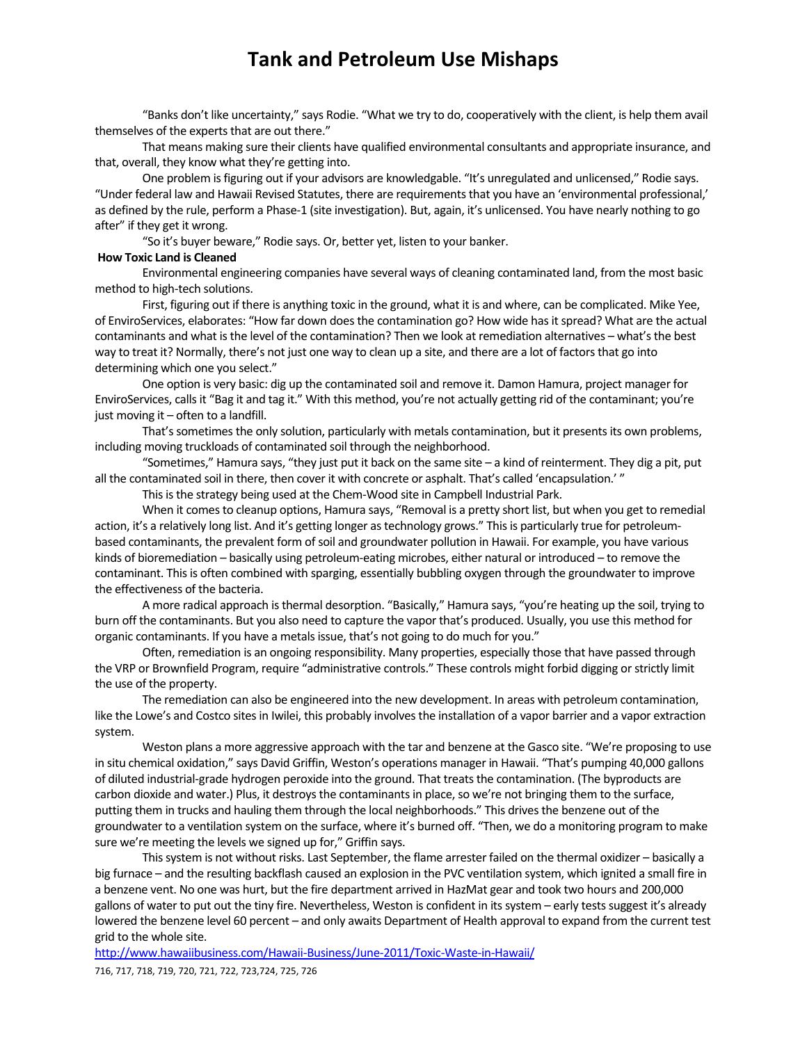"Banks don't like uncertainty," says Rodie. "What we try to do, cooperatively with the client, is help them avail themselves of the experts that are out there."

That means making sure their clients have qualified environmental consultants and appropriate insurance, and that, overall, they know what they're getting into.

One problem isfiguring out if your advisors are knowledgable. "It's unregulated and unlicensed," Rodie says. "Under federal law and Hawaii Revised Statutes, there are requirements that you have an 'environmental professional,' as defined by the rule, perform a Phase-1 (site investigation). But, again, it's unlicensed. You have nearly nothing to go after" if they get it wrong.

"So it's buyer beware," Rodie says. Or, better yet, listen to your banker.

#### **How Toxic Land is Cleaned**

Environmental engineering companies have several ways of cleaning contaminated land, from the most basic method to high-tech solutions.

First, figuring out if there is anything toxic in the ground, what it is and where, can be complicated. Mike Yee, of EnviroServices, elaborates: "How far down does the contamination go? How wide has it spread? What are the actual contaminants and what is the level of the contamination? Then we look at remediation alternatives – what's the best way to treat it? Normally, there's not just one way to clean up a site, and there are a lot of factors that go into determining which one you select."

One option is very basic: dig up the contaminated soil and remove it. Damon Hamura, project manager for EnviroServices, callsit "Bag it and tag it." With this method, you're not actually getting rid of the contaminant; you're just moving it – often to a landfill.

That's sometimes the only solution, particularly with metals contamination, but it presents its own problems, including moving truckloads of contaminated soil through the neighborhood.

"Sometimes," Hamura says, "they just put it back on the same site – a kind of reinterment. They dig a pit, put all the contaminated soil in there, then cover it with concrete or asphalt. That's called 'encapsulation.' "

This is the strategy being used at the Chem-Wood site in Campbell Industrial Park.

When it comes to cleanup options, Hamura says, "Removal is a pretty short list, but when you get to remedial action, it's a relatively long list. And it's getting longer as technology grows." This is particularly true for petroleumbased contaminants, the prevalent form of soil and groundwater pollution in Hawaii. For example, you have various kinds of bioremediation – basically using petroleum‐eating microbes, either natural or introduced – to remove the contaminant. Thisis often combined with sparging, essentially bubbling oxygen through the groundwater to improve the effectiveness of the bacteria.

A more radical approach is thermal desorption. "Basically," Hamura says, "you're heating up the soil, trying to burn off the contaminants. But you also need to capture the vapor that's produced. Usually, you use this method for organic contaminants. If you have a metals issue, that's not going to do much for you."

Often, remediation is an ongoing responsibility. Many properties, especially those that have passed through the VRP or Brownfield Program, require "administrative controls." These controls might forbid digging or strictly limit the use of the property.

The remediation can also be engineered into the new development. In areas with petroleum contamination, like the Lowe's and Costco sites in Iwilei, this probably involves the installation of a vapor barrier and a vapor extraction system.

Weston plans a more aggressive approach with the tar and benzene at the Gasco site. "We're proposing to use in situ chemical oxidation," says David Griffin, Weston's operations manager in Hawaii. "That's pumping 40,000 gallons of diluted industrial‐grade hydrogen peroxide into the ground. That treatsthe contamination. (The byproducts are carbon dioxide and water.) Plus, it destroys the contaminants in place, so we're not bringing them to the surface, putting them in trucks and hauling them through the local neighborhoods." This drives the benzene out of the groundwater to a ventilation system on the surface, where it's burned off. "Then, we do a monitoring program to make sure we're meeting the levels we signed up for," Griffin says.

This system is not without risks. Last September, the flame arrester failed on the thermal oxidizer – basically a big furnace – and the resulting backflash caused an explosion in the PVC ventilation system, which ignited a small fire in a benzene vent. No one was hurt, but the fire department arrived in HazMat gear and took two hours and 200,000 gallons of water to put out the tiny fire. Nevertheless, Weston is confident in its system - early tests suggest it's already lowered the benzene level 60 percent – and only awaits Department of Health approval to expand from the current test grid to the whole site.

716, 717, 718, 719, 720, 721, 722, 723,724, 725, 726 http://www.hawaiibusiness.com/Hawaii-Business/June-2011/Toxic-Waste-in-Hawaii/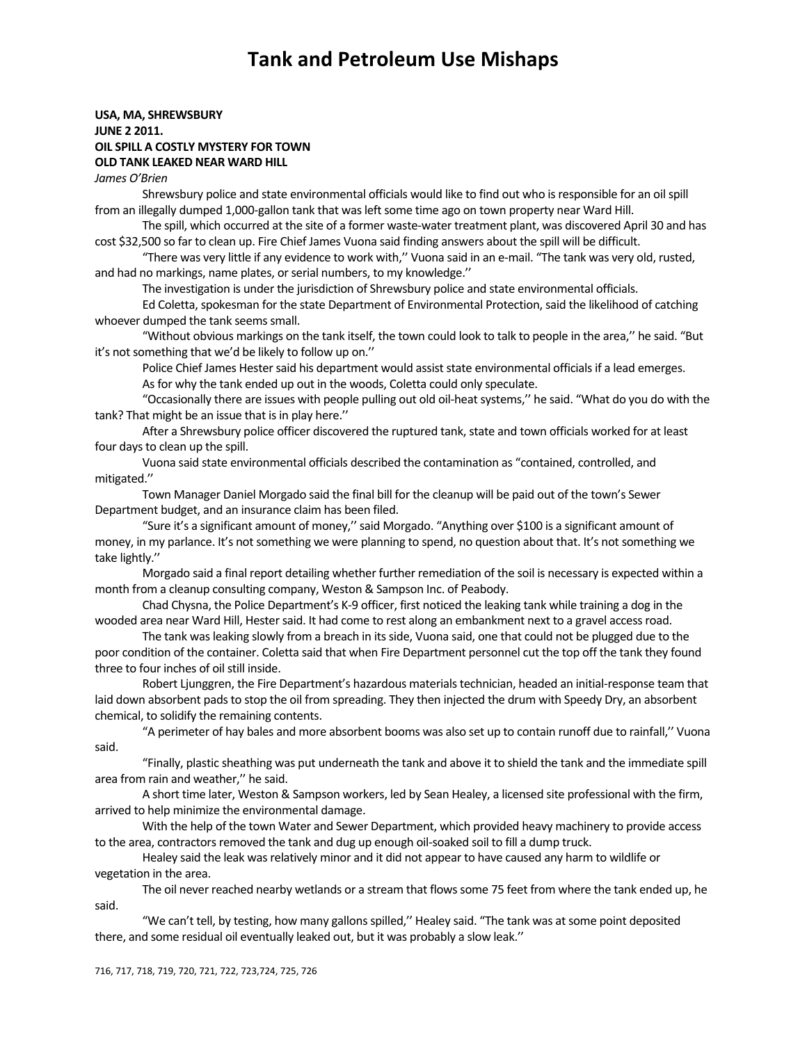### **USA, MA, SHREWSBURY JUNE 2 2011. OIL SPILL A COSTLY MYSTERY FOR TOWN OLD TANK LEAKED NEAR WARD HILL**

*James O'Brien*

Shrewsbury police and state environmental officials would like to find out who is responsible for an oil spill from an illegally dumped 1,000-gallon tank that was left some time ago on town property near Ward Hill.

The spill, which occurred at the site of a former waste‐water treatment plant, was discovered April 30 and has cost \$32,500 so far to clean up. Fire Chief James Vuona said finding answers about the spill will be difficult.

"There was very little if any evidence to work with,'' Vuona said in an e‐mail. "The tank was very old, rusted, and had no markings, name plates, or serial numbers, to my knowledge."

The investigation is under the jurisdiction of Shrewsbury police and state environmental officials.

Ed Coletta, spokesman for the state Department of Environmental Protection, said the likelihood of catching whoever dumped the tank seems small.

"Without obvious markings on the tank itself, the town could look to talk to people in the area,'' he said. "But it's not something that we'd be likely to follow up on."

Police Chief James Hester said his department would assist state environmental officials if a lead emerges. As for why the tank ended up out in the woods, Coletta could only speculate.

"Occasionally there are issues with people pulling out old oil-heat systems," he said. "What do you do with the tank? That might be an issue that is in play here."

After a Shrewsbury police officer discovered the ruptured tank, state and town officials worked for at least four days to clean up the spill.

Vuona said state environmental officials described the contamination as "contained, controlled, and mitigated.''

Town Manager Daniel Morgado said the final bill for the cleanup will be paid out of the town's Sewer Department budget, and an insurance claim has been filed.

"Sure it's a significant amount of money,''said Morgado. "Anything over \$100 is a significant amount of money, in my parlance. It's not something we were planning to spend, no question about that. It's not something we take lightly.''

Morgado said a final report detailing whether further remediation of the soil is necessary is expected within a month from a cleanup consulting company, Weston & Sampson Inc. of Peabody.

Chad Chysna, the Police Department's K‐9 officer, first noticed the leaking tank while training a dog in the wooded area near Ward Hill, Hester said. It had come to rest along an embankment next to a gravel access road.

The tank wasleaking slowly from a breach in itsside, Vuona said, one that could not be plugged due to the poor condition of the container. Coletta said that when Fire Department personnel cut the top off the tank they found three to four inches of oil still inside.

Robert Ljunggren, the Fire Department's hazardous materials technician, headed an initial-response team that laid down absorbent pads to stop the oil from spreading. They then injected the drum with Speedy Dry, an absorbent chemical, to solidify the remaining contents.

"A perimeter of hay bales and more absorbent booms was also set up to contain runoff due to rainfall,'' Vuona said.

"Finally, plastic sheathing was put underneath the tank and above it to shield the tank and the immediate spill area from rain and weather,'' he said.

A short time later, Weston & Sampson workers, led by Sean Healey, a licensed site professional with the firm, arrived to help minimize the environmental damage.

With the help of the town Water and Sewer Department, which provided heavy machinery to provide access to the area, contractors removed the tank and dug up enough oil-soaked soil to fill a dump truck.

Healey said the leak was relatively minor and it did not appear to have caused any harm to wildlife or vegetation in the area.

The oil never reached nearby wetlands or a stream that flowssome 75 feet from where the tank ended up, he said.

"We can't tell, by testing, how many gallons spilled," Healey said. "The tank was at some point deposited there, and some residual oil eventually leaked out, but it was probably a slow leak.''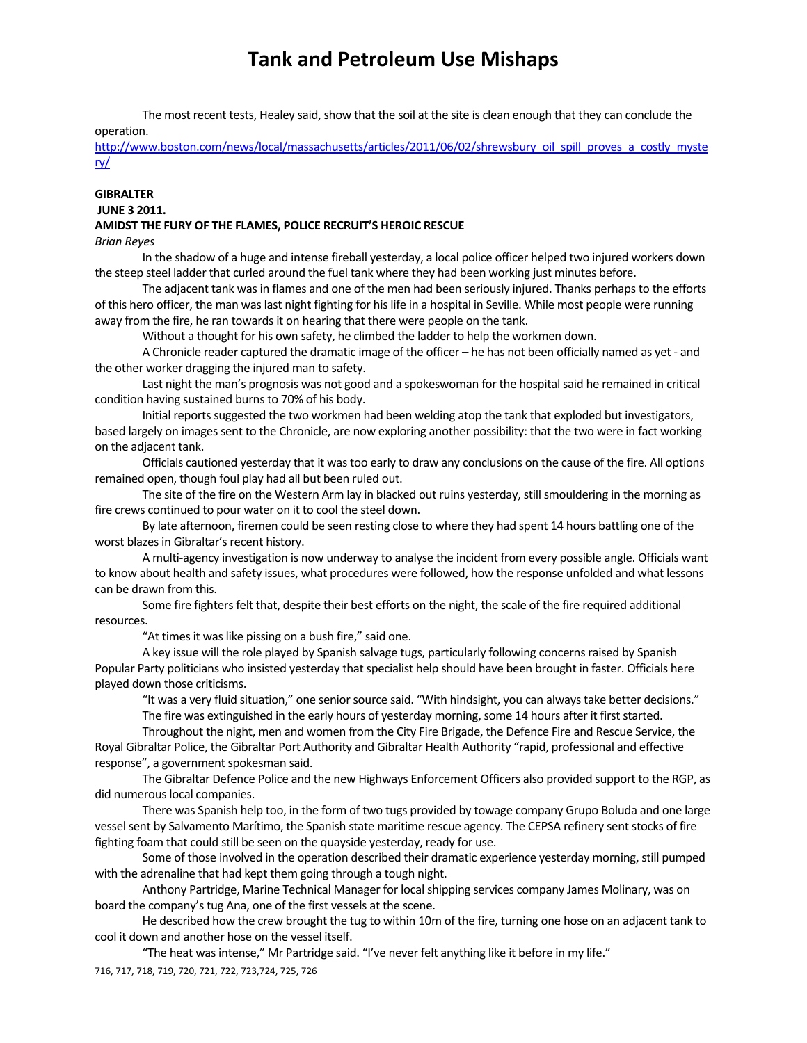The most recent tests, Healey said, show that the soil at the site is clean enough that they can conclude the operation.

http://www.boston.com/news/local/massachusetts/articles/2011/06/02/shrewsbury\_oil\_spill\_proves\_a\_costly\_myste  $ry/$ </u>

## **GIBRALTER**

## **JUNE 3 2011.**

### **AMIDST THE FURY OF THE FLAMES, POLICE RECRUIT'S HEROIC RESCUE**

*Brian Reyes*

In the shadow of a huge and intense fireball yesterday, a local police officer helped two injured workers down the steep steel ladder that curled around the fuel tank where they had been working just minutes before.

The adjacent tank was in flames and one of the men had been seriously injured. Thanks perhaps to the efforts of this hero officer, the man waslast night fighting for hislife in a hospital in Seville. While most people were running away from the fire, he ran towards it on hearing that there were people on the tank.

Without a thought for his own safety, he climbed the ladder to help the workmen down.

A Chronicle reader captured the dramatic image of the officer – he has not been officially named as yet ‐ and the other worker dragging the injured man to safety.

Last night the man's prognosis was not good and a spokeswoman for the hospital said he remained in critical condition having sustained burns to 70% of his body.

Initial reports suggested the two workmen had been welding atop the tank that exploded but investigators, based largely on images sent to the Chronicle, are now exploring another possibility: that the two were in fact working on the adjacent tank.

Officials cautioned yesterday that it wastoo early to draw any conclusions on the cause of the fire. All options remained open, though foul play had all but been ruled out.

The site of the fire on the Western Arm lay in blacked out ruins yesterday, still smouldering in the morning as fire crews continued to pour water on it to cool the steel down.

By late afternoon, firemen could be seen resting close to where they had spent 14 hours battling one of the worst blazes in Gibraltar's recent history.

A multi‐agency investigation is now underway to analyse the incident from every possible angle. Officials want to know about health and safety issues, what procedures were followed, how the response unfolded and what lessons can be drawn from this.

Some fire fighters felt that, despite their best efforts on the night, the scale of the fire required additional resources.

"At times it was like pissing on a bush fire," said one.

A key issue will the role played by Spanish salvage tugs, particularly following concerns raised by Spanish Popular Party politicians who insisted yesterday that specialist help should have been brought in faster. Officials here played down those criticisms.

"It was a very fluid situation," one senior source said. "With hindsight, you can always take better decisions." The fire was extinguished in the early hours of yesterday morning, some 14 hours after it first started.

Throughout the night, men and women from the City Fire Brigade, the Defence Fire and Rescue Service, the Royal Gibraltar Police, the Gibraltar Port Authority and Gibraltar Health Authority "rapid, professional and effective response", a government spokesman said.

The Gibraltar Defence Police and the new Highways Enforcement Officers also provided support to the RGP, as did numerous local companies.

There was Spanish help too, in the form of two tugs provided by towage company Grupo Boluda and one large vessel sent by Salvamento Marítimo, the Spanish state maritime rescue agency. The CEPSA refinery sent stocks of fire fighting foam that could still be seen on the quayside yesterday, ready for use.

Some of those involved in the operation described their dramatic experience yesterday morning, still pumped with the adrenaline that had kept them going through a tough night.

Anthony Partridge, Marine Technical Manager for local shipping services company James Molinary, was on board the company'stug Ana, one of the first vessels at the scene.

He described how the crew brought the tug to within 10m of the fire, turning one hose on an adjacent tank to cool it down and another hose on the vessel itself.

716, 717, 718, 719, 720, 721, 722, 723,724, 725, 726 "The heat wasintense," Mr Partridge said. "I've never felt anything like it before in my life."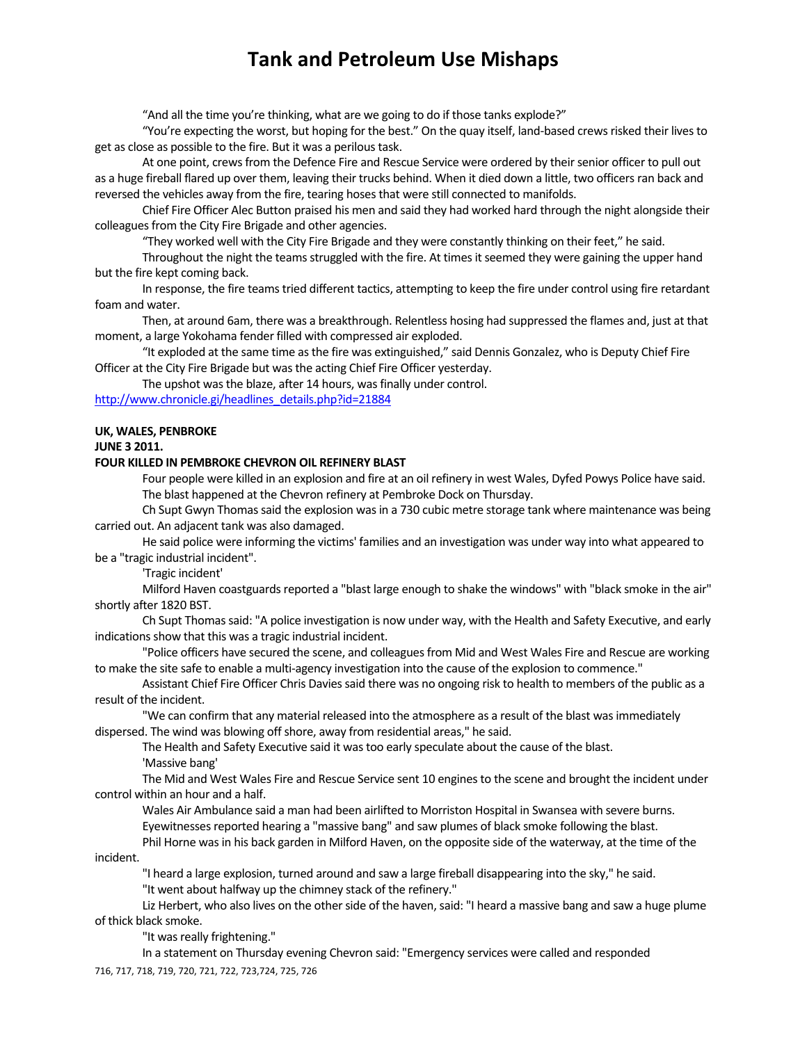"And all the time you're thinking, what are we going to do if those tanks explode?"

"You're expecting the worst, but hoping for the best." On the quay itself, land‐based crewsrisked their livesto get as close as possible to the fire. But it was a perilous task.

At one point, crews from the Defence Fire and Rescue Service were ordered by their senior officer to pull out as a huge fireball flared up over them, leaving their trucks behind. When it died down a little, two officers ran back and reversed the vehicles away from the fire, tearing hoses that were still connected to manifolds.

Chief Fire Officer Alec Button praised his men and said they had worked hard through the night alongside their colleagues from the City Fire Brigade and other agencies.

"They worked well with the City Fire Brigade and they were constantly thinking on their feet," he said.

Throughout the night the teams struggled with the fire. At times it seemed they were gaining the upper hand but the fire kept coming back.

In response, the fire teams tried different tactics, attempting to keep the fire under control using fire retardant foam and water.

Then, at around 6am, there was a breakthrough. Relentless hosing had suppressed the flames and, just at that moment, a large Yokohama fender filled with compressed air exploded.

"It exploded at the same time asthe fire was extinguished," said Dennis Gonzalez, who is Deputy Chief Fire Officer at the City Fire Brigade but was the acting Chief Fire Officer yesterday.

The upshot was the blaze, after 14 hours, was finally under control.

http://www.chronicle.gi/headlines\_details.php?id=21884

### **UK, WALES, PENBROKE**

**JUNE 3 2011.** 

### **FOUR KILLED IN PEMBROKE CHEVRON OIL REFINERY BLAST**

Four people were killed in an explosion and fire at an oil refinery in west Wales, Dyfed Powys Police have said. The blast happened at the Chevron refinery at Pembroke Dock on Thursday.

Ch Supt Gwyn Thomas said the explosion was in a 730 cubic metre storage tank where maintenance was being carried out. An adjacent tank was also damaged.

He said police were informing the victims' families and an investigation was under way into what appeared to be a "tragic industrial incident".

'Tragic incident'

Milford Haven coastguards reported a "blast large enough to shake the windows" with "black smoke in the air" shortly after 1820 BST.

Ch Supt Thomas said: "A police investigation is now under way, with the Health and Safety Executive, and early indications show that this was a tragic industrial incident.

"Police officers have secured the scene, and colleagues from Mid and West Wales Fire and Rescue are working to make the site safe to enable a multi-agency investigation into the cause of the explosion to commence."

Assistant Chief Fire Officer Chris Davies said there was no ongoing risk to health to members of the public as a result of the incident.

"We can confirm that any material released into the atmosphere as a result of the blast was immediately dispersed. The wind was blowing off shore, away from residential areas," he said.

The Health and Safety Executive said it was too early speculate about the cause of the blast. 'Massive bang'

The Mid and West Wales Fire and Rescue Service sent 10 engines to the scene and brought the incident under control within an hour and a half.

Wales Air Ambulance said a man had been airlifted to Morriston Hospital in Swansea with severe burns. Eyewitnesses reported hearing a "massive bang" and saw plumes of black smoke following the blast.

Phil Horne wasin his back garden in Milford Haven, on the opposite side of the waterway, at the time of the incident.

"I heard a large explosion, turned around and saw a large fireball disappearing into the sky," he said. "It went about halfway up the chimney stack of the refinery."

Liz Herbert, who also lives on the other side of the haven, said: "I heard a massive bang and saw a huge plume of thick black smoke.

"It was really frightening."

716, 717, 718, 719, 720, 721, 722, 723,724, 725, 726 In a statement on Thursday evening Chevron said: "Emergency services were called and responded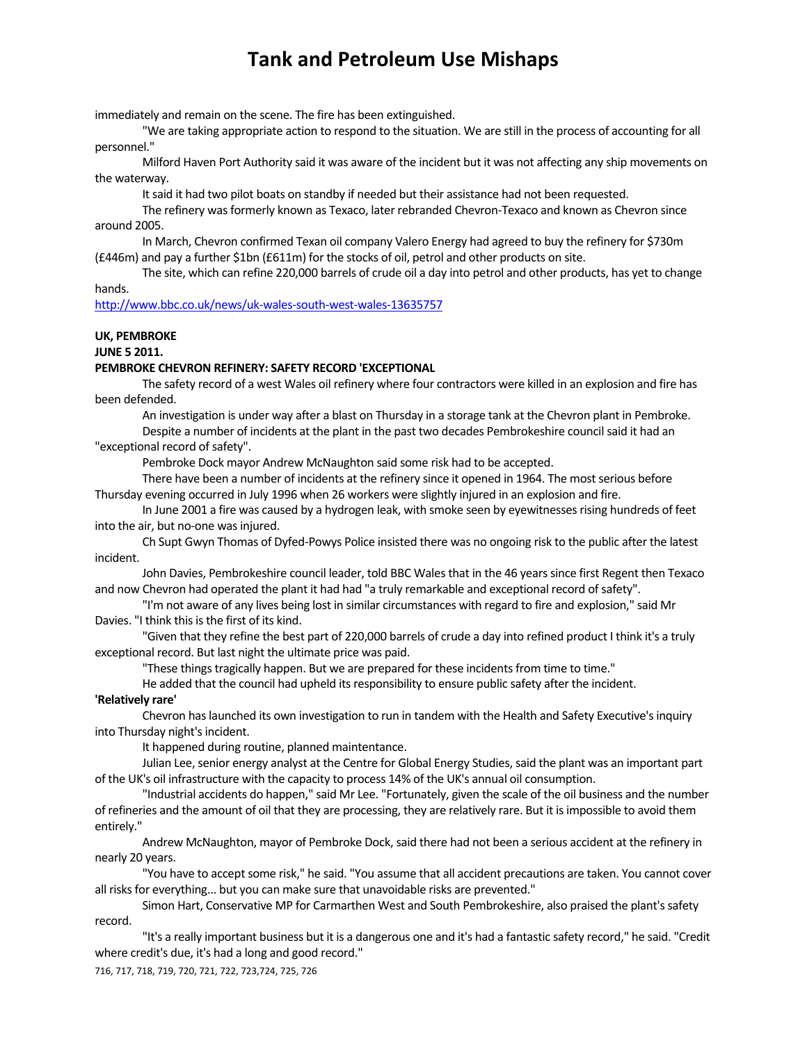immediately and remain on the scene. The fire has been extinguished.

"We are taking appropriate action to respond to the situation. We are still in the process of accounting for all personnel."

Milford Haven Port Authority said it was aware of the incident but it was not affecting any ship movements on the waterway.

It said it had two pilot boats on standby if needed but their assistance had not been requested.

The refinery was formerly known as Texaco, later rebranded Chevron-Texaco and known as Chevron since around 2005.

In March, Chevron confirmed Texan oil company Valero Energy had agreed to buy the refinery for \$730m (£446m) and pay a further \$1bn (£611m) for the stocks of oil, petrol and other products on site.

The site, which can refine 220,000 barrels of crude oil a day into petrol and other products, has yet to change hands.

http://www.bbc.co.uk/news/uk‐wales‐south‐west‐wales‐13635757

### **UK, PEMBROKE**

**JUNE 5 2011.** 

### **PEMBROKE CHEVRON REFINERY: SAFETY RECORD 'EXCEPTIONAL**

The safety record of a west Wales oil refinery where four contractors were killed in an explosion and fire has been defended.

An investigation is under way after a blast on Thursday in a storage tank at the Chevron plant in Pembroke.

Despite a number of incidents at the plant in the past two decades Pembrokeshire council said it had an "exceptional record of safety".

Pembroke Dock mayor Andrew McNaughton said some risk had to be accepted.

There have been a number of incidents at the refinery since it opened in 1964. The most serious before Thursday evening occurred in July 1996 when 26 workers were slightly injured in an explosion and fire.

In June 2001 a fire was caused by a hydrogen leak, with smoke seen by eyewitnessesrising hundreds of feet into the air, but no-one was injured.

Ch Supt Gwyn Thomas of Dyfed‐Powys Police insisted there was no ongoing risk to the public after the latest incident.

John Davies, Pembrokeshire council leader, told BBC Wales that in the 46 years since first Regent then Texaco and now Chevron had operated the plant it had had "a truly remarkable and exceptional record ofsafety".

"I'm not aware of any lives being lost in similar circumstances with regard to fire and explosion," said Mr Davies. "I think this is the first of its kind.

"Given that they refine the best part of 220,000 barrels of crude a day into refined product I think it's a truly exceptional record. But last night the ultimate price was paid.

"These things tragically happen. But we are prepared for these incidents from time to time."

He added that the council had upheld its responsibility to ensure public safety after the incident.

### **'Relatively rare'**

Chevron has launched its own investigation to run in tandem with the Health and Safety Executive's inquiry into Thursday night's incident.

It happened during routine, planned maintentance.

Julian Lee, senior energy analyst at the Centre for Global Energy Studies, said the plant was an important part of the UK's oil infrastructure with the capacity to process 14% of the UK's annual oil consumption.

"Industrial accidents do happen," said Mr Lee. "Fortunately, given the scale of the oil business and the number of refineries and the amount of oil that they are processing, they are relatively rare. But it isimpossible to avoid them entirely."

Andrew McNaughton, mayor of Pembroke Dock, said there had not been a serious accident at the refinery in nearly 20 years.

"You have to accept some risk," he said. "You assume that all accident precautions are taken. You cannot cover all risks for everything... but you can make sure that unavoidable risks are prevented."

Simon Hart, Conservative MP for Carmarthen West and South Pembrokeshire, also praised the plant's safety record.

"It's a really important business but it is a dangerous one and it's had a fantastic safety record," he said. "Credit where credit's due, it's had a long and good record."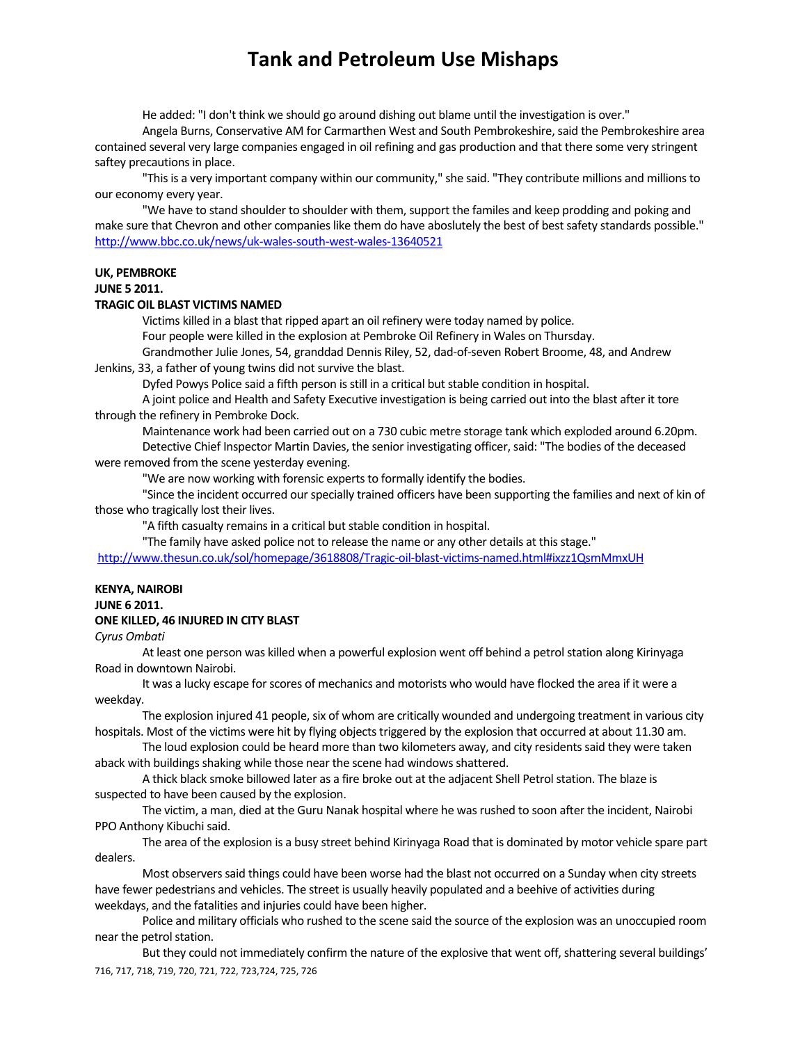He added: "I don't think we should go around dishing out blame until the investigation is over."

Angela Burns, Conservative AM for Carmarthen West and South Pembrokeshire, said the Pembrokeshire area contained several very large companies engaged in oil refining and gas production and that there some very stringent saftey precautions in place.

"This is a very important company within our community," she said. "They contribute millions and millions to our economy every year.

"We have to stand shoulder to shoulder with them, support the familes and keep prodding and poking and make sure that Chevron and other companies like them do have aboslutely the best of best safety standards possible." http://www.bbc.co.uk/news/uk‐wales‐south‐west‐wales‐13640521

## **UK, PEMBROKE**

## **JUNE 5 2011.**

### **TRAGIC OIL BLAST VICTIMS NAMED**

Victims killed in a blast that ripped apart an oil refinery were today named by police.

Four people were killed in the explosion at Pembroke Oil Refinery in Wales on Thursday.

Grandmother Julie Jones, 54, granddad Dennis Riley, 52, dad‐of‐seven Robert Broome, 48, and Andrew Jenkins, 33, a father of young twins did not survive the blast.

Dyfed Powys Police said a fifth person is still in a critical but stable condition in hospital.

A joint police and Health and Safety Executive investigation is being carried out into the blast after it tore through the refinery in Pembroke Dock.

Maintenance work had been carried out on a 730 cubic metre storage tank which exploded around 6.20pm. Detective Chief Inspector Martin Davies, the senior investigating officer, said: "The bodies of the deceased were removed from the scene yesterday evening.

"We are now working with forensic experts to formally identify the bodies.

"Since the incident occurred ourspecially trained officers have been supporting the families and next of kin of those who tragically lost their lives.

"A fifth casualty remains in a critical but stable condition in hospital.

"The family have asked police not to release the name or any other details at this stage."

http://www.thesun.co.uk/sol/homepage/3618808/Tragic‐oil‐blast‐victims‐named.html#ixzz1QsmMmxUH

### **KENYA, NAIROBI**

### **JUNE 6 2011.**

### **ONE KILLED, 46 INJURED IN CITY BLAST**

*Cyrus Ombati*

At least one person was killed when a powerful explosion went off behind a petrol station along Kirinyaga Road in downtown Nairobi.

It was a lucky escape for scores of mechanics and motorists who would have flocked the area if it were a weekday.

The explosion injured 41 people, six of whom are critically wounded and undergoing treatment in various city hospitals. Most of the victims were hit by flying objects triggered by the explosion that occurred at about 11.30 am.

The loud explosion could be heard more than two kilometers away, and city residentssaid they were taken aback with buildings shaking while those near the scene had windows shattered.

A thick black smoke billowed later as a fire broke out at the adjacent Shell Petrol station. The blaze is suspected to have been caused by the explosion.

The victim, a man, died at the Guru Nanak hospital where he was rushed to soon after the incident, Nairobi PPO Anthony Kibuchi said.

The area of the explosion is a busy street behind Kirinyaga Road that is dominated by motor vehicle spare part dealers.

Most observerssaid things could have been worse had the blast not occurred on a Sunday when city streets have fewer pedestrians and vehicles. The street is usually heavily populated and a beehive of activities during weekdays, and the fatalities and injuries could have been higher.

Police and military officials who rushed to the scene said the source of the explosion was an unoccupied room near the petrol station.

716, 717, 718, 719, 720, 721, 722, 723,724, 725, 726 But they could not immediately confirm the nature of the explosive that went off, shattering several buildings'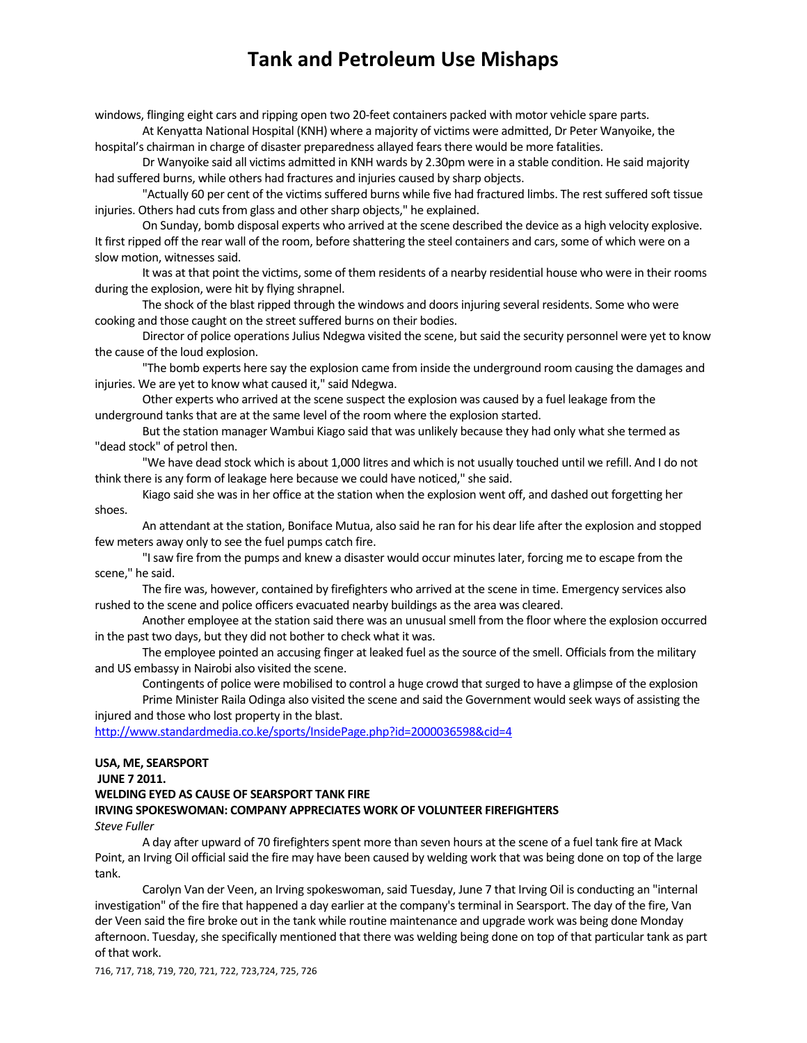windows, flinging eight cars and ripping open two 20-feet containers packed with motor vehicle spare parts.

At Kenyatta National Hospital (KNH) where a majority of victims were admitted, Dr Peter Wanyoike, the hospital's chairman in charge of disaster preparedness allayed fears there would be more fatalities.

Dr Wanyoike said all victims admitted in KNH wards by 2.30pm were in a stable condition. He said majority had suffered burns, while others had fractures and injuries caused by sharp objects.

"Actually 60 per cent of the victims suffered burns while five had fractured limbs. The rest suffered soft tissue injuries. Others had cuts from glass and other sharp objects," he explained.

On Sunday, bomb disposal experts who arrived at the scene described the device as a high velocity explosive. It first ripped off the rear wall of the room, before shattering the steel containers and cars, some of which were on a slow motion, witnesses said.

It was at that point the victims, some of them residents of a nearby residential house who were in their rooms during the explosion, were hit by flying shrapnel.

The shock of the blast ripped through the windows and doors injuring several residents. Some who were cooking and those caught on the street suffered burns on their bodies.

Director of police operations Julius Ndegwa visited the scene, but said the security personnel were yet to know the cause of the loud explosion.

"The bomb experts here say the explosion came from inside the underground room causing the damages and injuries. We are yet to know what caused it," said Ndegwa.

Other experts who arrived at the scene suspect the explosion was caused by a fuel leakage from the underground tanks that are at the same level of the room where the explosion started.

But the station manager Wambui Kiago said that was unlikely because they had only what she termed as "dead stock" of petrol then.

"We have dead stock which is about 1,000 litres and which is not usually touched until we refill. And I do not think there is any form of leakage here because we could have noticed," she said.

Kiago said she wasin her office at the station when the explosion went off, and dashed out forgetting her shoes.

An attendant at the station, Boniface Mutua, also said he ran for his dear life after the explosion and stopped few meters away only to see the fuel pumps catch fire.

"Isaw fire from the pumps and knew a disaster would occur minuteslater, forcing me to escape from the scene," he said.

The fire was, however, contained by firefighters who arrived at the scene in time. Emergency services also rushed to the scene and police officers evacuated nearby buildings asthe area was cleared.

Another employee at the station said there was an unusualsmell from the floor where the explosion occurred in the past two days, but they did not bother to check what it was.

The employee pointed an accusing finger at leaked fuel as the source of the smell. Officials from the military and US embassy in Nairobi also visited the scene.

Contingents of police were mobilised to control a huge crowd that surged to have a glimpse of the explosion

Prime Minister Raila Odinga also visited the scene and said the Government would seek ways of assisting the injured and those who lost property in the blast.

http://www.standardmedia.co.ke/sports/InsidePage.php?id=2000036598&cid=4

### **USA, ME, SEARSPORT**

**JUNE 7 2011.** 

### **WELDING EYED AS CAUSE OF SEARSPORT TANK FIRE**

**IRVING SPOKESWOMAN: COMPANY APPRECIATES WORK OF VOLUNTEER FIREFIGHTERS**

### *Steve Fuller*

A day after upward of 70 firefighters spent more than seven hours at the scene of a fuel tank fire at Mack Point, an Irving Oil official said the fire may have been caused by welding work that was being done on top of the large tank.

Carolyn Van der Veen, an Irving spokeswoman, said Tuesday, June 7 that Irving Oil is conducting an "internal investigation" of the fire that happened a day earlier at the company'sterminal in Searsport. The day of the fire, Van der Veen said the fire broke out in the tank while routine maintenance and upgrade work was being done Monday afternoon. Tuesday, she specifically mentioned that there was welding being done on top of that particular tank as part of that work.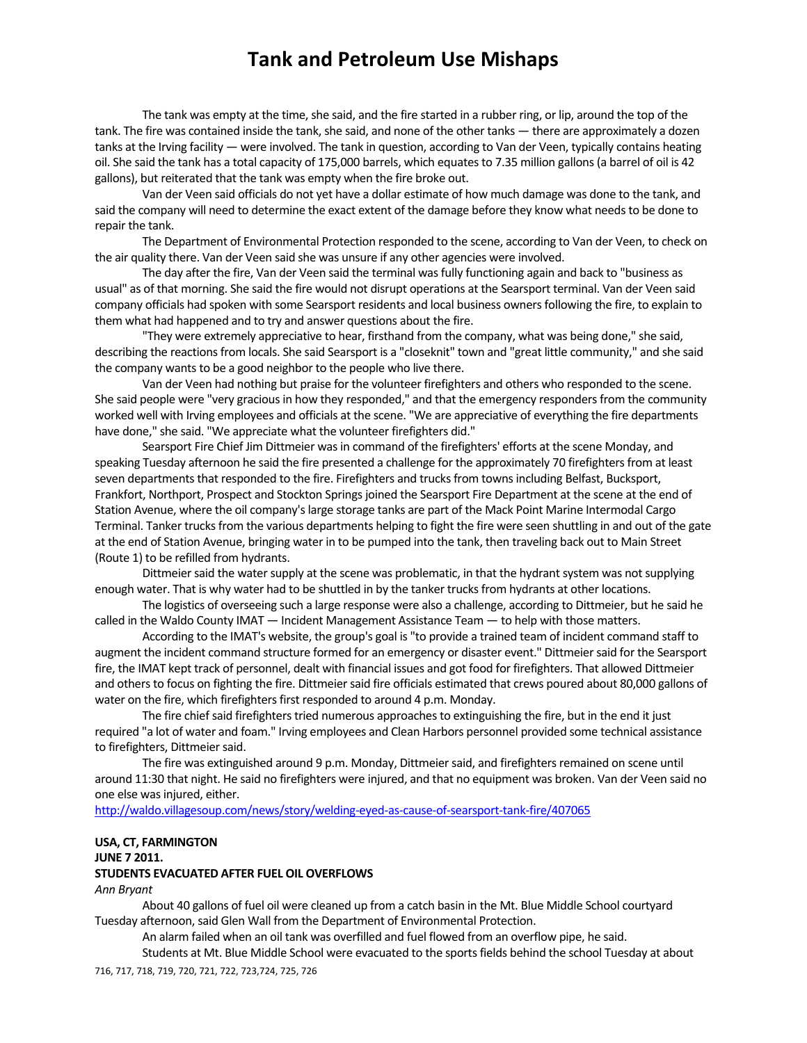The tank was empty at the time, she said, and the fire started in a rubber ring, or lip, around the top of the tank. The fire was contained inside the tank, she said, and none of the other tanks — there are approximately a dozen tanks at the Irving facility — were involved. The tank in question, according to Van der Veen, typically contains heating oil. She said the tank has a total capacity of 175,000 barrels, which equatesto 7.35 million gallons(a barrel of oil is 42 gallons), but reiterated that the tank was empty when the fire broke out.

Van der Veen said officials do not yet have a dollar estimate of how much damage was done to the tank, and said the company will need to determine the exact extent of the damage before they know what needs to be done to repair the tank.

The Department of Environmental Protection responded to the scene, according to Van der Veen, to check on the air quality there. Van der Veen said she was unsure if any other agencies were involved.

The day after the fire, Van der Veen said the terminal was fully functioning again and back to "business as usual" as of that morning. She said the fire would not disrupt operations at the Searsport terminal. Van der Veen said company officials had spoken with some Searsport residents and local business ownersfollowing the fire, to explain to them what had happened and to try and answer questions about the fire.

"They were extremely appreciative to hear, firsthand from the company, what was being done," she said, describing the reactions from locals. She said Searsport is a "closeknit" town and "great little community," and she said the company wants to be a good neighbor to the people who live there.

Van der Veen had nothing but praise for the volunteer firefighters and others who responded to the scene. She said people were "very gracious in how they responded," and that the emergency responders from the community worked well with Irving employees and officials at the scene. "We are appreciative of everything the fire departments have done," she said. "We appreciate what the volunteer firefighters did."

Searsport Fire Chief Jim Dittmeier was in command of the firefighters' efforts at the scene Monday, and speaking Tuesday afternoon he said the fire presented a challenge for the approximately 70 firefighters from at least seven departments that responded to the fire. Firefighters and trucks from towns including Belfast, Bucksport, Frankfort, Northport, Prospect and Stockton Springs joined the Searsport Fire Department at the scene at the end of Station Avenue, where the oil company'slarge storage tanks are part of the Mack Point Marine Intermodal Cargo Terminal. Tanker trucks from the various departments helping to fight the fire were seen shuttling in and out of the gate at the end of Station Avenue, bringing water in to be pumped into the tank, then traveling back out to Main Street (Route 1) to be refilled from hydrants.

Dittmeier said the water supply at the scene was problematic, in that the hydrant system was not supplying enough water. That is why water had to be shuttled in by the tanker trucks from hydrants at other locations.

The logistics of overseeing such a large response were also a challenge, according to Dittmeier, but he said he called in the Waldo County IMAT — Incident Management Assistance Team — to help with those matters.

According to the IMAT's website, the group's goal is "to provide a trained team of incident command staff to augment the incident command structure formed for an emergency or disaster event." Dittmeiersaid for the Searsport fire, the IMAT kept track of personnel, dealt with financial issues and got food for firefighters. That allowed Dittmeier and others to focus on fighting the fire. Dittmeier said fire officials estimated that crews poured about 80,000 gallons of water on the fire, which firefighters first responded to around 4 p.m. Monday.

The fire chief said firefighters tried numerous approaches to extinguishing the fire, but in the end it just required "a lot of water and foam." Irving employees and Clean Harbors personnel provided some technical assistance to firefighters, Dittmeier said.

The fire was extinguished around 9 p.m. Monday, Dittmeier said, and firefighters remained on scene until around 11:30 that night. He said no firefighters were injured, and that no equipment was broken. Van der Veen said no one else was injured, either.

http://waldo.villagesoup.com/news/story/welding‐eyed‐as‐cause‐of‐searsport‐tank‐fire/407065

## **USA, CT, FARMINGTON JUNE 7 2011.**

### **STUDENTS EVACUATED AFTER FUEL OIL OVERFLOWS**

*Ann Bryant*

About 40 gallons of fuel oil were cleaned up from a catch basin in the Mt. Blue Middle School courtyard Tuesday afternoon,said Glen Wall from the Department of Environmental Protection.

An alarm failed when an oil tank was overfilled and fuel flowed from an overflow pipe, he said.

716, 717, 718, 719, 720, 721, 722, 723,724, 725, 726 Students at Mt. Blue Middle School were evacuated to the sportsfields behind the school Tuesday at about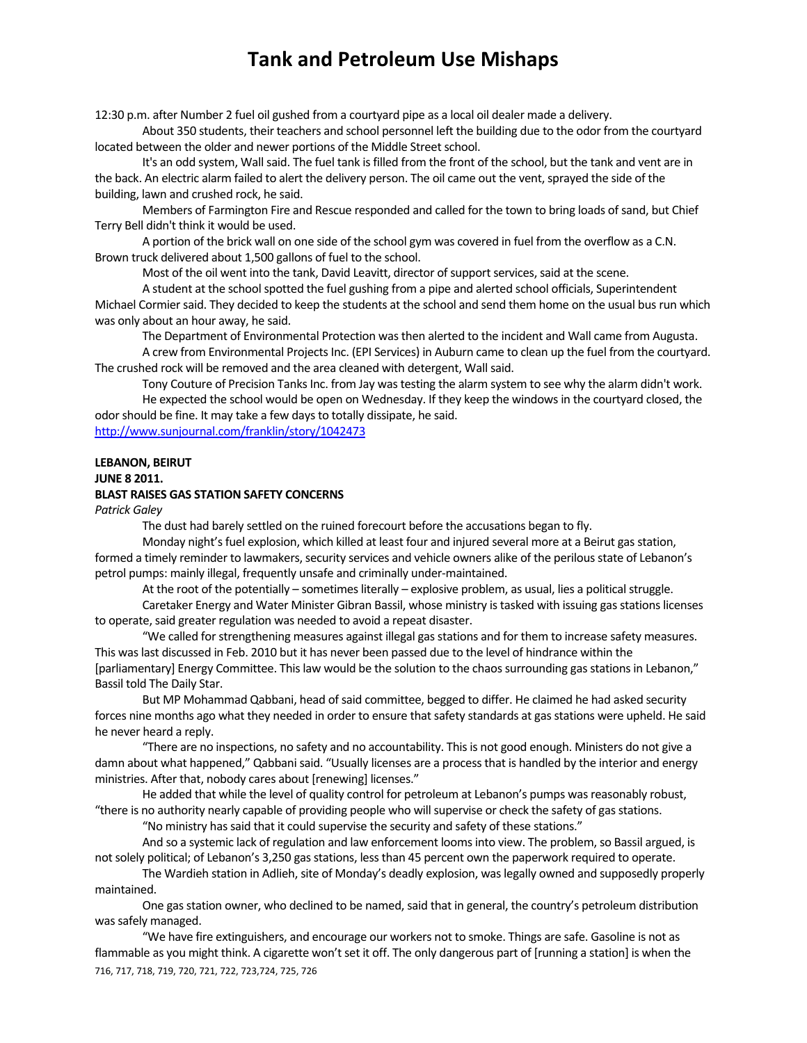12:30 p.m. after Number 2 fuel oil gushed from a courtyard pipe as a local oil dealer made a delivery.

About 350 students, their teachers and school personnel left the building due to the odor from the courtyard located between the older and newer portions of the Middle Street school.

It's an odd system, Wall said. The fuel tank is filled from the front of the school, but the tank and vent are in the back. An electric alarm failed to alert the delivery person. The oil came out the vent, sprayed the side of the building, lawn and crushed rock, he said.

Members of Farmington Fire and Rescue responded and called for the town to bring loads of sand, but Chief Terry Bell didn't think it would be used.

A portion of the brick wall on one side of the school gym was covered in fuel from the overflow as a C.N. Brown truck delivered about 1,500 gallons of fuel to the school.

Most of the oil went into the tank, David Leavitt, director of support services, said at the scene.

A student at the school spotted the fuel gushing from a pipe and alerted school officials, Superintendent Michael Cormier said. They decided to keep the students at the school and send them home on the usual bus run which was only about an hour away, he said.

The Department of Environmental Protection wasthen alerted to the incident and Wall came from Augusta.

A crew from Environmental Projects Inc. (EPI Services) in Auburn came to clean up the fuel from the courtyard. The crushed rock will be removed and the area cleaned with detergent, Wall said.

Tony Couture of Precision Tanks Inc. from Jay was testing the alarm system to see why the alarm didn't work. He expected the school would be open on Wednesday. If they keep the windowsin the courtyard closed, the odor should be fine. It may take a few days to totally dissipate, he said. http://www.sunjournal.com/franklin/story/1042473

## **LEBANON, BEIRUT JUNE 8 2011. BLAST RAISES GAS STATION SAFETY CONCERNS**

*Patrick Galey*

The dust had barely settled on the ruined forecourt before the accusations began to fly.

Monday night's fuel explosion, which killed at least four and injured several more at a Beirut gas station, formed a timely reminder to lawmakers, security services and vehicle owners alike of the perilous state of Lebanon's petrol pumps: mainly illegal, frequently unsafe and criminally under-maintained.

At the root of the potentially – sometimes literally – explosive problem, as usual, lies a political struggle.

Caretaker Energy and Water Minister Gibran Bassil, whose ministry is tasked with issuing gas stations licenses to operate, said greater regulation was needed to avoid a repeat disaster.

"We called for strengthening measures against illegal gas stations and for them to increase safety measures. This waslast discussed in Feb. 2010 but it has never been passed due to the level of hindrance within the [parliamentary] Energy Committee. This law would be the solution to the chaos surrounding gas stations in Lebanon," Bassil told The Daily Star.

But MP Mohammad Qabbani, head of said committee, begged to differ. He claimed he had asked security forces nine months ago what they needed in order to ensure that safety standards at gas stations were upheld. He said he never heard a reply.

"There are no inspections, no safety and no accountability. Thisis not good enough. Ministers do not give a damn about what happened," Qabbani said. "Usually licenses are a process that is handled by the interior and energy ministries. After that, nobody cares about [renewing] licenses."

He added that while the level of quality control for petroleum at Lebanon's pumps was reasonably robust, "there is no authority nearly capable of providing people who will supervise or check the safety of gas stations.

"No ministry has said that it could supervise the security and safety of these stations."

And so a systemic lack of regulation and law enforcement looms into view. The problem, so Bassil argued, is not solely political; of Lebanon's 3,250 gas stations, less than 45 percent own the paperwork required to operate.

The Wardieh station in Adlieh, site of Monday's deadly explosion, was legally owned and supposedly properly maintained.

One gas station owner, who declined to be named, said that in general, the country's petroleum distribution was safely managed.

716, 717, 718, 719, 720, 721, 722, 723,724, 725, 726 "We have fire extinguishers, and encourage our workers not to smoke. Things are safe. Gasoline is not as flammable as you might think. A cigarette won't set it off. The only dangerous part of [running a station] is when the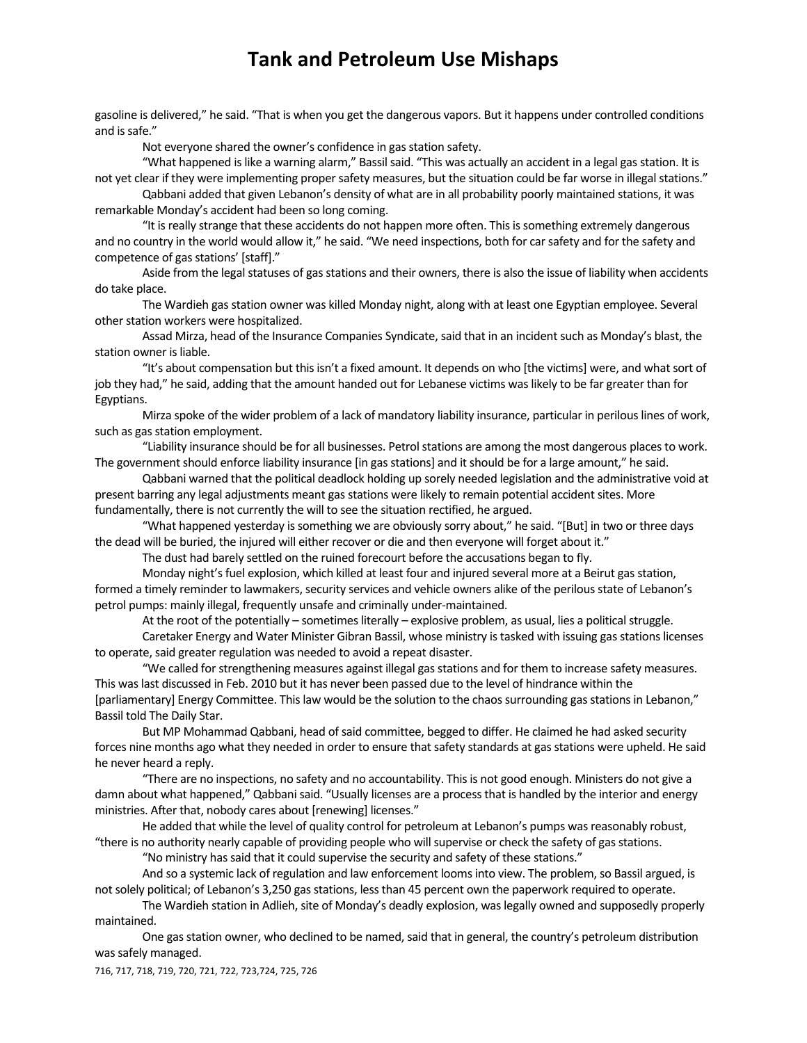gasoline is delivered," he said. "That is when you get the dangerous vapors. But it happens under controlled conditions and is safe."

Not everyone shared the owner's confidence in gas station safety.

"What happened is like a warning alarm," Bassil said. "This was actually an accident in a legal gas station. It is not yet clear if they were implementing proper safety measures, but the situation could be far worse in illegal stations."

Qabbani added that given Lebanon's density of what are in all probability poorly maintained stations, it was remarkable Monday's accident had been so long coming.

"It is really strange that these accidents do not happen more often. This is something extremely dangerous and no country in the world would allow it," he said. "We need inspections, both for carsafety and for the safety and competence of gas stations' [staff]."

Aside from the legal statuses of gas stations and their owners, there is also the issue of liability when accidents do take place.

The Wardieh gas station owner was killed Monday night, along with at least one Egyptian employee. Several other station workers were hospitalized.

Assad Mirza, head of the Insurance Companies Syndicate, said that in an incident such as Monday's blast, the station owner is liable.

"It's about compensation but this isn't a fixed amount. It depends on who [the victims] were, and what sort of job they had," he said, adding that the amount handed out for Lebanese victims was likely to be far greater than for Egyptians.

Mirza spoke of the wider problem of a lack of mandatory liability insurance, particular in perilouslines of work, such as gas station employment.

"Liability insurance should be for all businesses. Petrol stations are among the most dangerous places to work. The government should enforce liability insurance [in gas stations] and it should be for a large amount," he said.

Qabbani warned that the political deadlock holding up sorely needed legislation and the administrative void at present barring any legal adjustments meant gas stations were likely to remain potential accident sites. More fundamentally, there is not currently the will to see the situation rectified, he argued.

"What happened yesterday is something we are obviously sorry about," he said. "[But] in two or three days the dead will be buried, the injured will either recover or die and then everyone will forget about it."

The dust had barely settled on the ruined forecourt before the accusations began to fly.

Monday night's fuel explosion, which killed at least four and injured several more at a Beirut gas station, formed a timely reminder to lawmakers, security services and vehicle owners alike of the perilous state of Lebanon's petrol pumps: mainly illegal, frequently unsafe and criminally under-maintained.

At the root of the potentially – sometimes literally – explosive problem, as usual, lies a political struggle.

Caretaker Energy and Water Minister Gibran Bassil, whose ministry is tasked with issuing gas stations licenses to operate, said greater regulation was needed to avoid a repeat disaster.

"We called for strengthening measures against illegal gas stations and for them to increase safety measures. This waslast discussed in Feb. 2010 but it has never been passed due to the level of hindrance within the [parliamentary] Energy Committee. This law would be the solution to the chaos surrounding gas stations in Lebanon," Bassil told The Daily Star.

But MP Mohammad Qabbani, head of said committee, begged to differ. He claimed he had asked security forces nine months ago what they needed in order to ensure that safety standards at gas stations were upheld. He said he never heard a reply.

"There are no inspections, no safety and no accountability. Thisis not good enough. Ministers do not give a damn about what happened," Qabbani said. "Usually licenses are a process that is handled by the interior and energy ministries. After that, nobody cares about [renewing] licenses."

He added that while the level of quality control for petroleum at Lebanon's pumps was reasonably robust, "there is no authority nearly capable of providing people who will supervise or check the safety of gas stations.

"No ministry hassaid that it could supervise the security and safety of these stations."

And so a systemic lack of regulation and law enforcement looms into view. The problem, so Bassil argued, is not solely political; of Lebanon's 3,250 gas stations, less than 45 percent own the paperwork required to operate.

The Wardieh station in Adlieh, site of Monday's deadly explosion, was legally owned and supposedly properly maintained.

One gas station owner, who declined to be named, said that in general, the country's petroleum distribution was safely managed.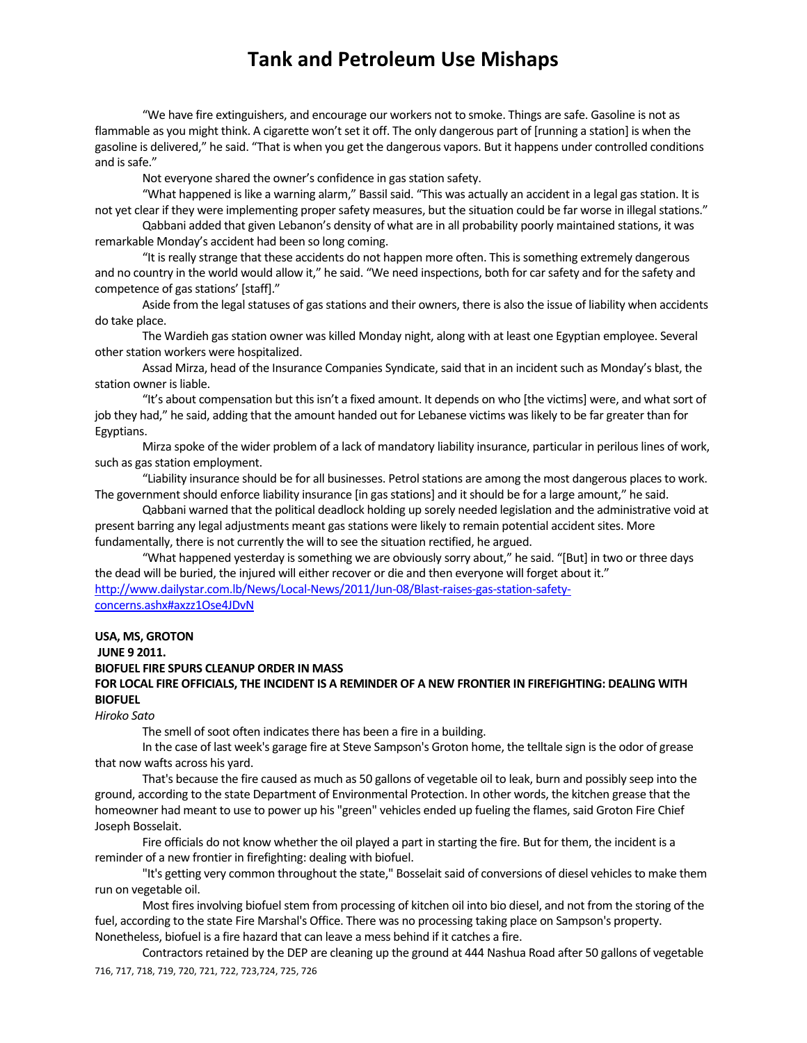"We have fire extinguishers, and encourage our workers not to smoke. Things are safe. Gasoline is not as flammable as you might think. A cigarette won't set it off. The only dangerous part of [running a station] is when the gasoline is delivered," he said. "That is when you get the dangerous vapors. But it happens under controlled conditions and is safe."

Not everyone shared the owner's confidence in gas station safety.

"What happened is like a warning alarm," Bassil said. "This was actually an accident in a legal gas station. It is not yet clear if they were implementing proper safety measures, but the situation could be far worse in illegal stations."

Qabbani added that given Lebanon's density of what are in all probability poorly maintained stations, it was remarkable Monday's accident had been so long coming.

"It is really strange that these accidents do not happen more often. This is something extremely dangerous and no country in the world would allow it," he said. "We need inspections, both for car safety and for the safety and competence of gas stations' [staff]."

Aside from the legal statuses of gas stations and their owners, there is also the issue of liability when accidents do take place.

The Wardieh gasstation owner was killed Monday night, along with at least one Egyptian employee. Several other station workers were hospitalized.

Assad Mirza, head of the Insurance Companies Syndicate, said that in an incident such as Monday's blast, the station owner is liable.

"It's about compensation but this isn't a fixed amount. It depends on who [the victims] were, and what sort of job they had," he said, adding that the amount handed out for Lebanese victims waslikely to be far greater than for Egyptians.

Mirza spoke of the wider problem of a lack of mandatory liability insurance, particular in perilouslines of work, such as gas station employment.

"Liability insurance should be for all businesses. Petrol stations are among the most dangerous places to work. The government should enforce liability insurance [in gas stations] and it should be for a large amount," he said.

Qabbani warned that the political deadlock holding up sorely needed legislation and the administrative void at present barring any legal adjustments meant gas stations were likely to remain potential accident sites. More fundamentally, there is not currently the will to see the situation rectified, he argued.

"What happened yesterday issomething we are obviously sorry about," he said. "[But] in two or three days the dead will be buried, the injured will either recover or die and then everyone will forget about it." http://www.dailystar.com.lb/News/Local-News/2011/Jun-08/Blast-raises-gas-station-safetyconcerns.ashx#axzz1Ose4JDvN

### **USA, MS, GROTON**

### **JUNE 9 2011.**

### **BIOFUEL FIRE SPURS CLEANUP ORDER IN MASS**

**FOR LOCAL FIRE OFFICIALS, THE INCIDENT IS A REMINDER OF A NEW FRONTIER IN FIREFIGHTING: DEALING WITH BIOFUEL**

### *Hiroko Sato*

The smell of soot often indicates there has been a fire in a building.

In the case of last week's garage fire at Steve Sampson's Groton home, the telltale sign isthe odor of grease that now wafts across his yard.

That's because the fire caused as much as 50 gallons of vegetable oil to leak, burn and possibly seep into the ground, according to the state Department of Environmental Protection. In other words, the kitchen grease that the homeowner had meant to use to power up his "green" vehicles ended up fueling the flames, said Groton Fire Chief Joseph Bosselait.

Fire officials do not know whether the oil played a part in starting the fire. But for them, the incident is a reminder of a new frontier in firefighting: dealing with biofuel.

"It's getting very common throughout the state," Bosselait said of conversions of diesel vehicles to make them run on vegetable oil.

Most fires involving biofuel stem from processing of kitchen oil into bio diesel, and not from the storing of the fuel, according to the state Fire Marshal's Office. There was no processing taking place on Sampson's property. Nonetheless, biofuel is a fire hazard that can leave a mess behind if it catches a fire.

716, 717, 718, 719, 720, 721, 722, 723,724, 725, 726 Contractors retained by the DEP are cleaning up the ground at 444 Nashua Road after 50 gallons of vegetable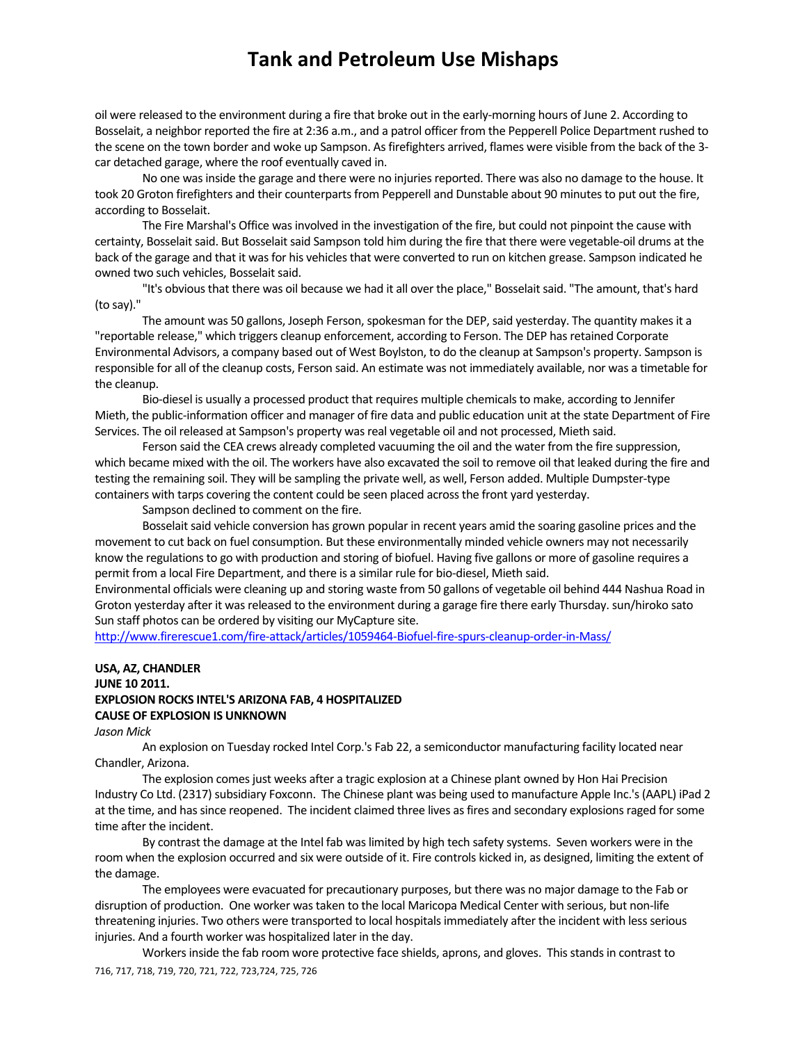oil were released to the environment during a fire that broke out in the early‐morning hours of June 2. According to Bosselait, a neighbor reported the fire at 2:36 a.m., and a patrol officer from the Pepperell Police Department rushed to the scene on the town border and woke up Sampson. As firefighters arrived, flames were visible from the back of the 3car detached garage, where the roof eventually caved in.

No one was inside the garage and there were no injuries reported. There was also no damage to the house. It took 20 Groton firefighters and their counterparts from Pepperell and Dunstable about 90 minutes to put out the fire, according to Bosselait.

The Fire Marshal's Office was involved in the investigation of the fire, but could not pinpoint the cause with certainty, Bosselait said. But Bosselait said Sampson told him during the fire that there were vegetable-oil drums at the back of the garage and that it was for his vehicles that were converted to run on kitchen grease. Sampson indicated he owned two such vehicles, Bosselait said.

"It's obvious that there was oil because we had it all over the place," Bosselait said. "The amount, that's hard (to say)."

The amount was 50 gallons, Joseph Ferson, spokesman for the DEP, said yesterday. The quantity makes it a "reportable release," which triggers cleanup enforcement, according to Ferson. The DEP hasretained Corporate Environmental Advisors, a company based out of West Boylston, to do the cleanup at Sampson's property. Sampson is responsible for all of the cleanup costs, Ferson said. An estimate was not immediately available, nor was a timetable for the cleanup.

Bio-diesel is usually a processed product that requires multiple chemicals to make, according to Jennifer Mieth, the public‐information officer and manager of fire data and public education unit at the state Department of Fire Services. The oil released at Sampson's property was real vegetable oil and not processed, Mieth said.

Ferson said the CEA crews already completed vacuuming the oil and the water from the fire suppression, which became mixed with the oil. The workers have also excavated the soil to remove oil that leaked during the fire and testing the remaining soil. They will be sampling the private well, as well, Ferson added. Multiple Dumpster‐type containers with tarps covering the content could be seen placed acrossthe front yard yesterday.

Sampson declined to comment on the fire.

Bosselait said vehicle conversion has grown popular in recent years amid the soaring gasoline prices and the movement to cut back on fuel consumption. But these environmentally minded vehicle owners may not necessarily know the regulations to go with production and storing of biofuel. Having five gallons or more of gasoline requires a permit from a local Fire Department, and there is a similar rule for bio‐diesel, Mieth said.

Environmental officials were cleaning up and storing waste from 50 gallons of vegetable oil behind 444 Nashua Road in Groton yesterday after it was released to the environment during a garage fire there early Thursday. sun/hiroko sato Sun staff photos can be ordered by visiting our MyCapture site.

http://www.firerescue1.com/fire‐attack/articles/1059464‐Biofuel‐fire‐spurs‐cleanup‐order‐in‐Mass/

## **USA, AZ, CHANDLER JUNE 10 2011. EXPLOSION ROCKS INTEL'S ARIZONA FAB, 4 HOSPITALIZED CAUSE OF EXPLOSION IS UNKNOWN**

*Jason Mick*

An explosion on Tuesday rocked Intel Corp.'s Fab 22, a semiconductor manufacturing facility located near Chandler, Arizona.

The explosion comes just weeks after a tragic explosion at a Chinese plant owned by Hon Hai Precision Industry Co Ltd. (2317) subsidiary Foxconn. The Chinese plant was being used to manufacture Apple Inc.'s (AAPL) iPad 2 at the time, and has since reopened. The incident claimed three lives as fires and secondary explosions raged for some time after the incident.

By contrast the damage at the Intel fab was limited by high tech safety systems. Seven workers were in the room when the explosion occurred and six were outside of it. Fire controls kicked in, as designed, limiting the extent of the damage.

The employees were evacuated for precautionary purposes, but there was no major damage to the Fab or disruption of production. One worker wastaken to the local Maricopa Medical Center with serious, but non‐life threatening injuries. Two others were transported to local hospitals immediately after the incident with less serious injuries. And a fourth worker was hospitalized later in the day.

716, 717, 718, 719, 720, 721, 722, 723,724, 725, 726 Workers inside the fab room wore protective face shields, aprons, and gloves. This stands in contrast to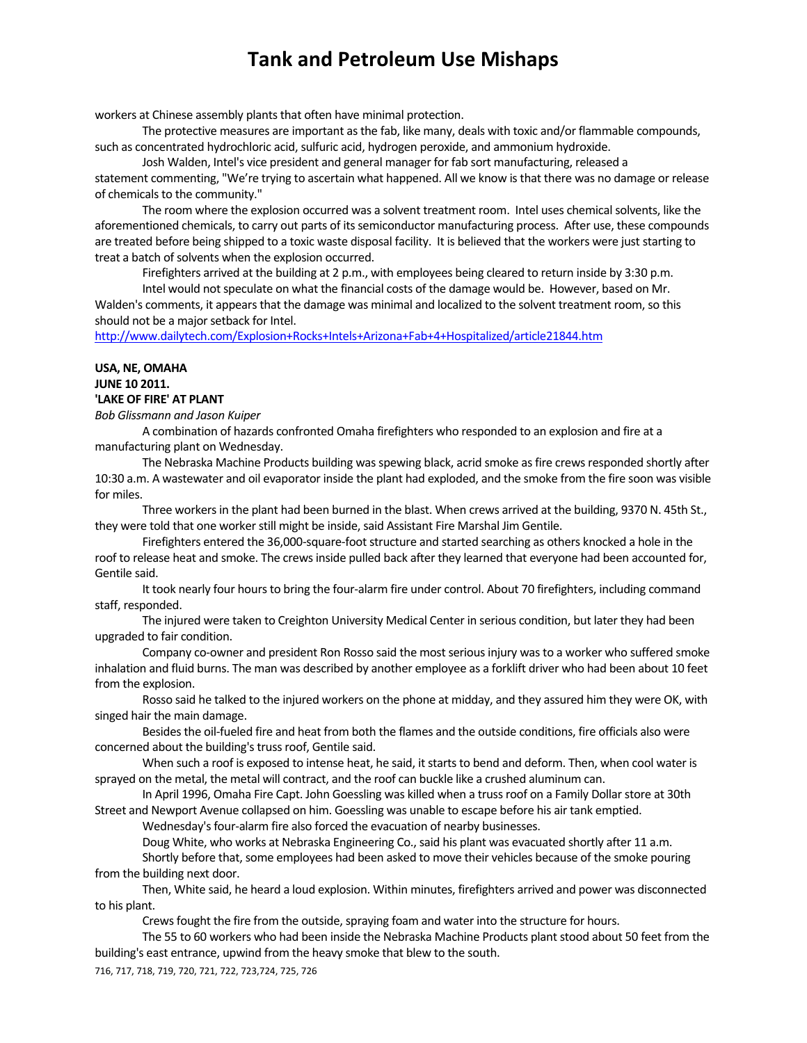workers at Chinese assembly plants that often have minimal protection.

The protective measures are important as the fab, like many, deals with toxic and/or flammable compounds, such as concentrated hydrochloric acid, sulfuric acid, hydrogen peroxide, and ammonium hydroxide.

Josh Walden, Intel's vice president and general manager for fab sort manufacturing, released a

statement commenting, "We're trying to ascertain what happened. All we know isthat there was no damage or release of chemicals to the community."

The room where the explosion occurred was a solvent treatment room. Intel uses chemical solvents, like the aforementioned chemicals, to carry out parts of its semiconductor manufacturing process. After use, these compounds are treated before being shipped to a toxic waste disposal facility. It is believed that the workers were just starting to treat a batch of solvents when the explosion occurred.

Firefighters arrived at the building at 2 p.m., with employees being cleared to return inside by 3:30 p.m.

Intel would not speculate on what the financial costs of the damage would be. However, based on Mr. Walden's comments, it appears that the damage was minimal and localized to the solvent treatment room, so this should not be a major setback for Intel.

http://www.dailytech.com/Explosion+Rocks+Intels+Arizona+Fab+4+Hospitalized/article21844.htm

### **USA, NE, OMAHA JUNE 10 2011. 'LAKE OF FIRE' AT PLANT**

*Bob Glissmann and Jason Kuiper*

A combination of hazards confronted Omaha firefighters who responded to an explosion and fire at a manufacturing plant on Wednesday.

The Nebraska Machine Products building was spewing black, acrid smoke as fire crews responded shortly after 10:30 a.m. A wastewater and oil evaporator inside the plant had exploded, and the smoke from the fire soon was visible for miles.

Three workersin the plant had been burned in the blast. When crews arrived at the building, 9370 N. 45th St., they were told that one worker still might be inside, said Assistant Fire Marshal Jim Gentile.

Firefighters entered the 36,000-square-foot structure and started searching as others knocked a hole in the roof to release heat and smoke. The crewsinside pulled back after they learned that everyone had been accounted for, Gentile said.

It took nearly four hours to bring the four-alarm fire under control. About 70 firefighters, including command staff, responded.

The injured were taken to Creighton University Medical Center in serious condition, but later they had been upgraded to fair condition.

Company co-owner and president Ron Rosso said the most serious injury was to a worker who suffered smoke inhalation and fluid burns. The man was described by another employee as a forklift driver who had been about 10 feet from the explosion.

Rosso said he talked to the injured workers on the phone at midday, and they assured him they were OK, with singed hair the main damage.

Besides the oil-fueled fire and heat from both the flames and the outside conditions, fire officials also were concerned about the building's truss roof, Gentile said.

When such a roof is exposed to intense heat, he said, it starts to bend and deform. Then, when cool water is sprayed on the metal, the metal will contract, and the roof can buckle like a crushed aluminum can.

In April 1996, Omaha Fire Capt. John Goessling was killed when a truss roof on a Family Dollar store at 30th Street and Newport Avenue collapsed on him. Goessling was unable to escape before his air tank emptied.

Wednesday's four-alarm fire also forced the evacuation of nearby businesses.

Doug White, who works at Nebraska Engineering Co., said his plant was evacuated shortly after 11 a.m.

Shortly before that, some employees had been asked to move their vehicles because of the smoke pouring from the building next door.

Then, White said, he heard a loud explosion. Within minutes, firefighters arrived and power was disconnected to his plant.

Crews fought the fire from the outside, spraying foam and water into the structure for hours.

The 55 to 60 workers who had been inside the Nebraska Machine Products plantstood about 50 feet from the building's east entrance, upwind from the heavy smoke that blew to the south.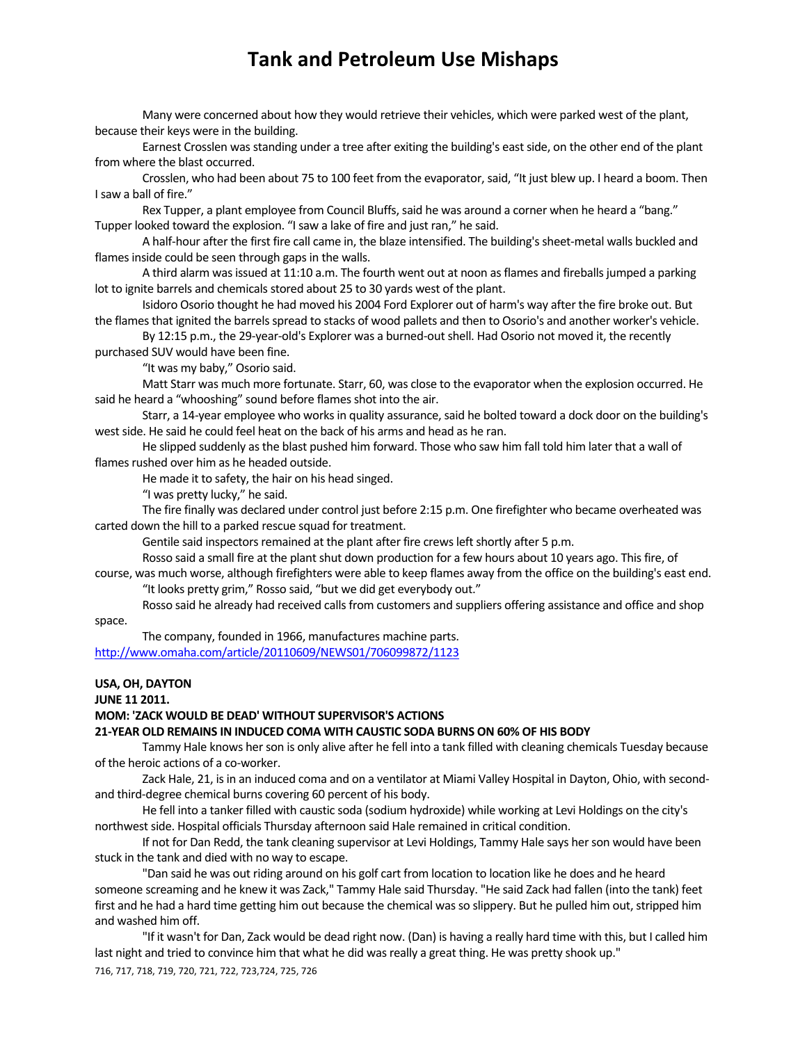Many were concerned about how they would retrieve their vehicles, which were parked west of the plant, because their keys were in the building.

Earnest Crosslen was standing under a tree after exiting the building's east side, on the other end of the plant from where the blast occurred.

Crosslen, who had been about 75 to 100 feet from the evaporator,said, "It just blew up. I heard a boom. Then Isaw a ball of fire."

Rex Tupper, a plant employee from Council Bluffs, said he was around a corner when he heard a "bang." Tupper looked toward the explosion. "I saw a lake of fire and just ran," he said.

A half-hour after the first fire call came in, the blaze intensified. The building's sheet-metal walls buckled and flames inside could be seen through gaps in the walls.

A third alarm was issued at 11:10 a.m. The fourth went out at noon as flames and fireballs jumped a parking lot to ignite barrels and chemicals stored about 25 to 30 yards west of the plant.

Isidoro Osorio thought he had moved his 2004 Ford Explorer out of harm's way after the fire broke out. But the flames that ignited the barrels spread to stacks of wood pallets and then to Osorio's and another worker's vehicle.

By 12:15 p.m., the 29-year-old's Explorer was a burned-out shell. Had Osorio not moved it, the recently purchased SUV would have been fine.

"It was my baby," Osorio said.

Matt Starr was much more fortunate. Starr, 60, was close to the evaporator when the explosion occurred. He said he heard a "whooshing" sound before flames shot into the air.

Starr, a 14-year employee who works in quality assurance, said he bolted toward a dock door on the building's west side. He said he could feel heat on the back of his arms and head as he ran.

He slipped suddenly asthe blast pushed him forward. Those who saw him fall told him later that a wall of flames rushed over him as he headed outside.

He made it to safety, the hair on his head singed.

"I was pretty lucky," he said.

The fire finally was declared under control just before 2:15 p.m. One firefighter who became overheated was carted down the hill to a parked rescue squad for treatment.

Gentile said inspectors remained at the plant after fire crews left shortly after 5 p.m.

Rosso said a small fire at the plant shut down production for a few hours about 10 years ago. This fire, of

course, was much worse, although firefighters were able to keep flames away from the office on the building's east end. "It looks pretty grim," Rosso said, "but we did get everybody out."

Rosso said he already had received calls from customers and suppliers offering assistance and office and shop space.

The company, founded in 1966, manufactures machine parts. http://www.omaha.com/article/20110609/NEWS01/706099872/1123

### **USA, OH, DAYTON**

**JUNE 11 2011.** 

## **MOM: 'ZACK WOULD BE DEAD' WITHOUT SUPERVISOR'S ACTIONS**

## **21‐YEAR OLD REMAINS IN INDUCED COMA WITH CAUSTIC SODA BURNS ON 60% OF HIS BODY**

Tammy Hale knows her son is only alive after he fell into a tank filled with cleaning chemicals Tuesday because of the heroic actions of a co‐worker.

Zack Hale, 21, isin an induced coma and on a ventilator at Miami Valley Hospital in Dayton, Ohio, with second‐ and third‐degree chemical burns covering 60 percent of his body.

He fell into a tanker filled with caustic soda (sodium hydroxide) while working at Levi Holdings on the city's northwest side. Hospital officials Thursday afternoon said Hale remained in critical condition.

If not for Dan Redd, the tank cleaning supervisor at Levi Holdings, Tammy Hale says herson would have been stuck in the tank and died with no way to escape.

"Dan said he was out riding around on his golf cart from location to location like he does and he heard someone screaming and he knew it was Zack," Tammy Hale said Thursday. "He said Zack had fallen (into the tank) feet first and he had a hard time getting him out because the chemical was so slippery. But he pulled him out, stripped him and washed him off.

716, 717, 718, 719, 720, 721, 722, 723,724, 725, 726 "If it wasn't for Dan, Zack would be dead right now. (Dan) is having a really hard time with this, but I called him last night and tried to convince him that what he did was really a great thing. He was pretty shook up."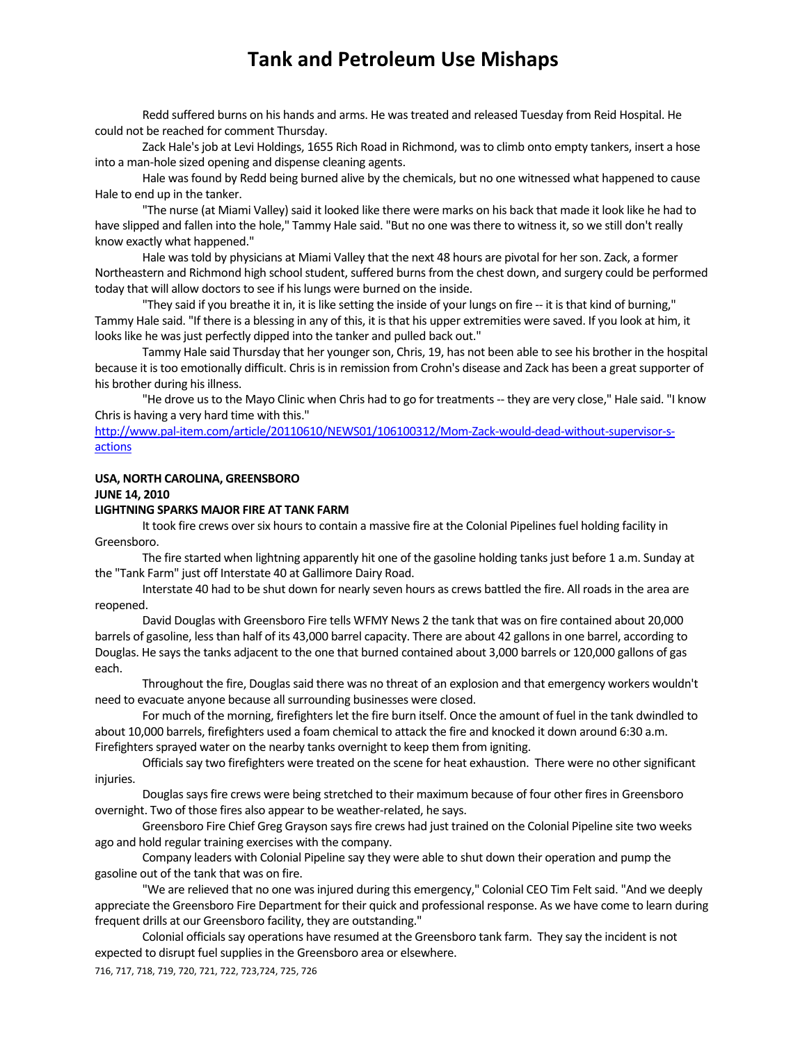Redd suffered burns on his hands and arms. He wastreated and released Tuesday from Reid Hospital. He could not be reached for comment Thursday.

Zack Hale's job at Levi Holdings, 1655 Rich Road in Richmond, was to climb onto empty tankers, insert a hose into a man‐hole sized opening and dispense cleaning agents.

Hale wasfound by Redd being burned alive by the chemicals, but no one witnessed what happened to cause Hale to end up in the tanker.

"The nurse (at Miami Valley) said it looked like there were marks on his back that made it look like he had to have slipped and fallen into the hole," Tammy Hale said. "But no one was there to witness it, so we still don't really know exactly what happened."

Hale wastold by physicians at Miami Valley that the next 48 hours are pivotal for herson. Zack, a former Northeastern and Richmond high school student, suffered burns from the chest down, and surgery could be performed today that will allow doctors to see if his lungs were burned on the inside.

"They said if you breathe it in, it is like setting the inside of your lungs on fire -- it is that kind of burning," Tammy Hale said. "If there is a blessing in any of this, it isthat his upper extremities were saved. If you look at him, it looks like he was just perfectly dipped into the tanker and pulled back out."

Tammy Hale said Thursday that her younger son, Chris, 19, has not been able to see his brother in the hospital because it is too emotionally difficult. Chris is in remission from Crohn's disease and Zack has been a great supporter of his brother during his illness.

"He drove us to the Mayo Clinic when Chris had to go for treatments -- they are very close," Hale said. "I know Chris is having a very hard time with this."

http://www.pal-item.com/article/20110610/NEWS01/106100312/Mom-Zack-would-dead-without-supervisor-sactions

### **USA, NORTH CAROLINA, GREENSBORO**

**JUNE 14, 2010**

### **LIGHTNING SPARKS MAJOR FIRE AT TANK FARM**

It took fire crews over six hours to contain a massive fire at the Colonial Pipelines fuel holding facility in Greensboro.

The fire started when lightning apparently hit one of the gasoline holding tanks just before 1 a.m. Sunday at the "Tank Farm" just off Interstate 40 at Gallimore Dairy Road.

Interstate 40 had to be shut down for nearly seven hours as crews battled the fire. All roads in the area are reopened.

David Douglas with Greensboro Fire tells WFMY News 2 the tank that was on fire contained about 20,000 barrels of gasoline, lessthan half of its 43,000 barrel capacity. There are about 42 gallonsin one barrel, according to Douglas. He saysthe tanks adjacent to the one that burned contained about 3,000 barrels or 120,000 gallons of gas each.

Throughout the fire, Douglas said there was no threat of an explosion and that emergency workers wouldn't need to evacuate anyone because all surrounding businesses were closed.

For much of the morning, firefighters let the fire burn itself. Once the amount of fuel in the tank dwindled to about 10,000 barrels, firefighters used a foam chemical to attack the fire and knocked it down around 6:30 a.m. Firefighters sprayed water on the nearby tanks overnight to keep them from igniting.

Officials say two firefighters were treated on the scene for heat exhaustion. There were no other significant injuries.

Douglas says fire crews were being stretched to their maximum because of four other fires in Greensboro overnight. Two of those fires also appear to be weather‐related, he says.

Greensboro Fire Chief Greg Grayson saysfire crews had just trained on the Colonial Pipeline site two weeks ago and hold regular training exercises with the company.

Company leaders with Colonial Pipeline say they were able to shut down their operation and pump the gasoline out of the tank that was on fire.

"We are relieved that no one was injured during this emergency," Colonial CEO Tim Felt said. "And we deeply appreciate the Greensboro Fire Department for their quick and professional response. As we have come to learn during frequent drills at our Greensboro facility, they are outstanding."

Colonial officials say operations have resumed at the Greensboro tank farm. They say the incident is not expected to disrupt fuel supplies in the Greensboro area or elsewhere.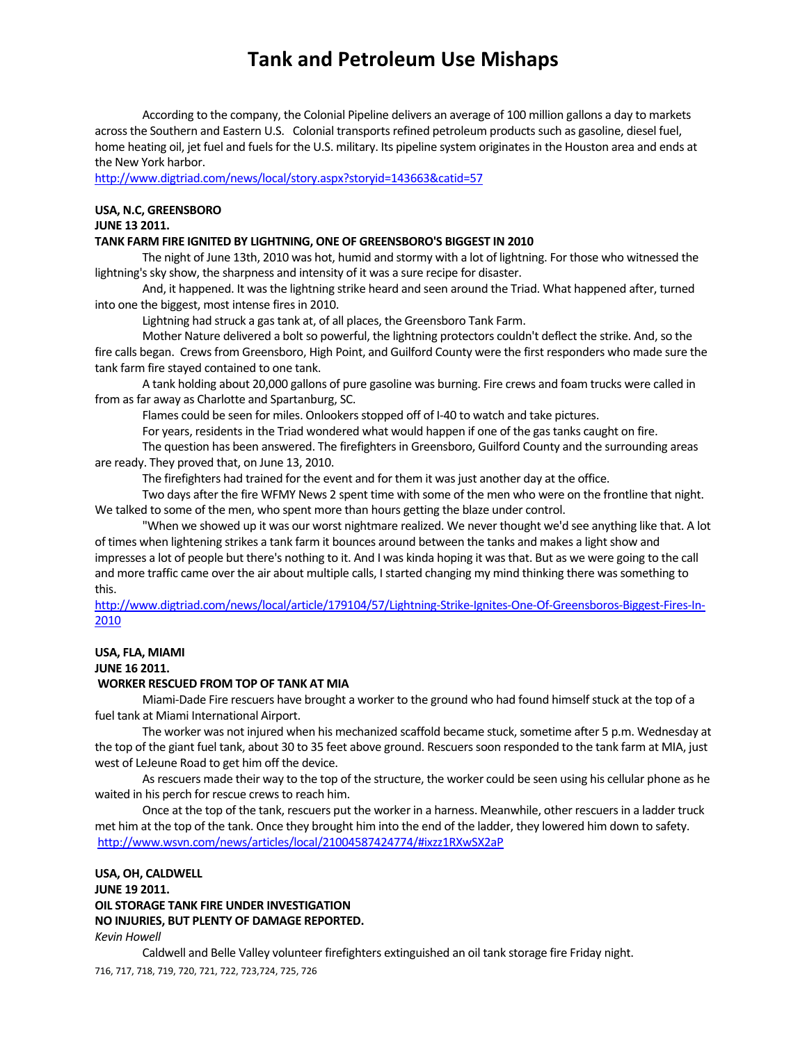According to the company, the Colonial Pipeline delivers an average of 100 million gallons a day to markets across the Southern and Eastern U.S. Colonial transports refined petroleum products such as gasoline, diesel fuel, home heating oil, jet fuel and fuels for the U.S. military. Its pipeline system originates in the Houston area and ends at the New York harbor.

http://www.digtriad.com/news/local/story.aspx?storyid=143663&catid=57

## **USA, N.C, GREENSBORO**

### **JUNE 13 2011.**

### **TANK FARM FIRE IGNITED BY LIGHTNING, ONE OF GREENSBORO'S BIGGEST IN 2010**

The night of June 13th, 2010 was hot, humid and stormy with a lot of lightning. For those who witnessed the lightning's sky show, the sharpness and intensity of it was a sure recipe for disaster.

And, it happened. It wasthe lightning strike heard and seen around the Triad. What happened after, turned into one the biggest, most intense fires in 2010.

Lightning had struck a gas tank at, of all places, the Greensboro Tank Farm.

Mother Nature delivered a bolt so powerful, the lightning protectors couldn't deflect the strike. And, so the fire calls began. Crews from Greensboro, High Point, and Guilford County were the first responders who made sure the tank farm fire stayed contained to one tank.

A tank holding about 20,000 gallons of pure gasoline was burning. Fire crews and foam trucks were called in from as far away as Charlotte and Spartanburg, SC.

Flames could be seen for miles. Onlookers stopped off of I-40 to watch and take pictures.

For years, residents in the Triad wondered what would happen if one of the gas tanks caught on fire.

The question has been answered. The firefighters in Greensboro, Guilford County and the surrounding areas are ready. They proved that, on June 13, 2010.

The firefighters had trained for the event and for them it was just another day at the office.

Two days after the fire WFMY News 2 spent time with some of the men who were on the frontline that night. We talked to some of the men, who spent more than hours getting the blaze under control.

"When we showed up it was our worst nightmare realized. We never thought we'd see anything like that. A lot of times when lightening strikes a tank farm it bounces around between the tanks and makes a light show and impresses a lot of people but there's nothing to it. And I was kinda hoping it wasthat. But as we were going to the call and more traffic came over the air about multiple calls, I started changing my mind thinking there was something to this.

http://www.digtriad.com/news/local/article/179104/57/Lightning-Strike-Ignites-One-Of-Greensboros-Biggest-Fires-In-2010

## **USA, FLA, MIAMI**

**JUNE 16 2011.**

### **WORKER RESCUED FROM TOP OF TANK AT MIA**

Miami-Dade Fire rescuers have brought a worker to the ground who had found himself stuck at the top of a fuel tank at Miami International Airport.

The worker was not injured when his mechanized scaffold became stuck, sometime after 5 p.m. Wednesday at the top of the giant fuel tank, about 30 to 35 feet above ground. Rescuers soon responded to the tank farm at MIA, just west of LeJeune Road to get him off the device.

Asrescuers made their way to the top of the structure, the worker could be seen using his cellular phone as he waited in his perch for rescue crews to reach him.

Once at the top of the tank, rescuers put the worker in a harness. Meanwhile, other rescuers in a ladder truck met him at the top of the tank. Once they brought him into the end of the ladder, they lowered him down to safety. http://www.wsvn.com/news/articles/local/21004587424774/#ixzz1RXwSX2aP

**USA, OH, CALDWELL JUNE 19 2011. OIL STORAGE TANK FIRE UNDER INVESTIGATION NO INJURIES, BUT PLENTY OF DAMAGE REPORTED.** *Kevin Howell*

716, 717, 718, 719, 720, 721, 722, 723,724, 725, 726 Caldwell and Belle Valley volunteer firefighters extinguished an oil tank storage fire Friday night.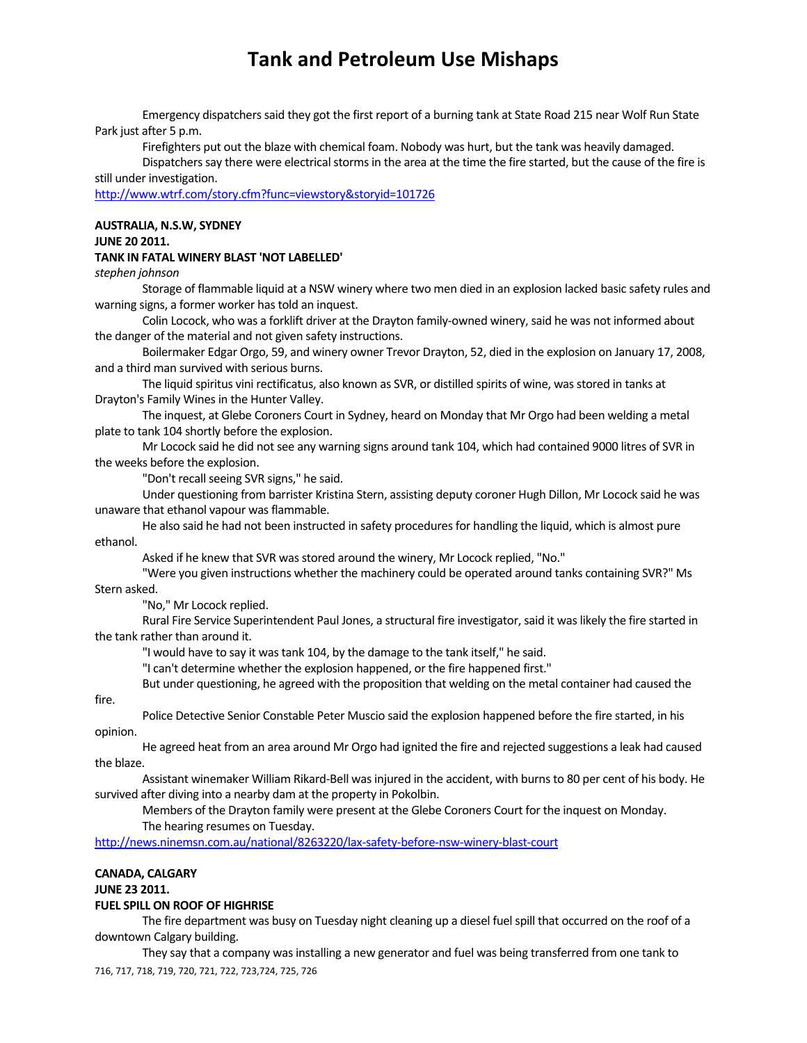Emergency dispatcherssaid they got the first report of a burning tank at State Road 215 near Wolf Run State Park just after 5 p.m.

Firefighters put out the blaze with chemical foam. Nobody was hurt, but the tank was heavily damaged. Dispatchers say there were electrical storms in the area at the time the fire started, but the cause of the fire is still under investigation.

http://www.wtrf.com/story.cfm?func=viewstory&storyid=101726

### **AUSTRALIA, N.S.W, SYDNEY JUNE 20 2011. TANK IN FATAL WINERY BLAST 'NOT LABELLED'**

*stephen johnson*

Storage of flammable liquid at a NSW winery where two men died in an explosion lacked basic safety rules and warning signs, a former worker has told an inquest.

Colin Locock, who was a forklift driver at the Drayton family‐owned winery,said he was not informed about the danger of the material and not given safety instructions.

Boilermaker Edgar Orgo, 59, and winery owner Trevor Drayton, 52, died in the explosion on January 17, 2008, and a third man survived with serious burns.

The liquid spiritus vini rectificatus, also known as SVR, or distilled spirits of wine, was stored in tanks at Drayton's Family Wines in the Hunter Valley.

The inquest, at Glebe Coroners Court in Sydney, heard on Monday that Mr Orgo had been welding a metal plate to tank 104 shortly before the explosion.

Mr Locock said he did not see any warning signs around tank 104, which had contained 9000 litres of SVR in the weeks before the explosion.

"Don't recall seeing SVR signs," he said.

Under questioning from barrister Kristina Stern, assisting deputy coroner Hugh Dillon, Mr Locock said he was unaware that ethanol vapour wasflammable.

He also said he had not been instructed in safety procedures for handling the liquid, which is almost pure ethanol.

Asked if he knew that SVR was stored around the winery, Mr Locock replied, "No."

"Were you given instructions whether the machinery could be operated around tanks containing SVR?" Ms Stern asked.

"No," Mr Locock replied.

Rural Fire Service Superintendent Paul Jones, a structural fire investigator,said it waslikely the fire started in the tank rather than around it.

"I would have to say it was tank 104, by the damage to the tank itself," he said.

"I can't determine whether the explosion happened, or the fire happened first."

But under questioning, he agreed with the proposition that welding on the metal container had caused the

Police Detective Senior Constable Peter Muscio said the explosion happened before the fire started, in his opinion.

He agreed heat from an area around Mr Orgo had ignited the fire and rejected suggestions a leak had caused the blaze.

Assistant winemaker William Rikard‐Bell wasinjured in the accident, with burnsto 80 per cent of his body. He survived after diving into a nearby dam at the property in Pokolbin.

Members of the Drayton family were present at the Glebe Coroners Court for the inquest on Monday.

The hearing resumes on Tuesday.

http://news.ninemsn.com.au/national/8263220/lax‐safety‐before‐nsw‐winery‐blast‐court

### **CANADA, CALGARY**

fire.

## **JUNE 23 2011.**

## **FUEL SPILL ON ROOF OF HIGHRISE**

The fire department was busy on Tuesday night cleaning up a diesel fuelspill that occurred on the roof of a downtown Calgary building.

716, 717, 718, 719, 720, 721, 722, 723,724, 725, 726 They say that a company was installing a new generator and fuel was being transferred from one tank to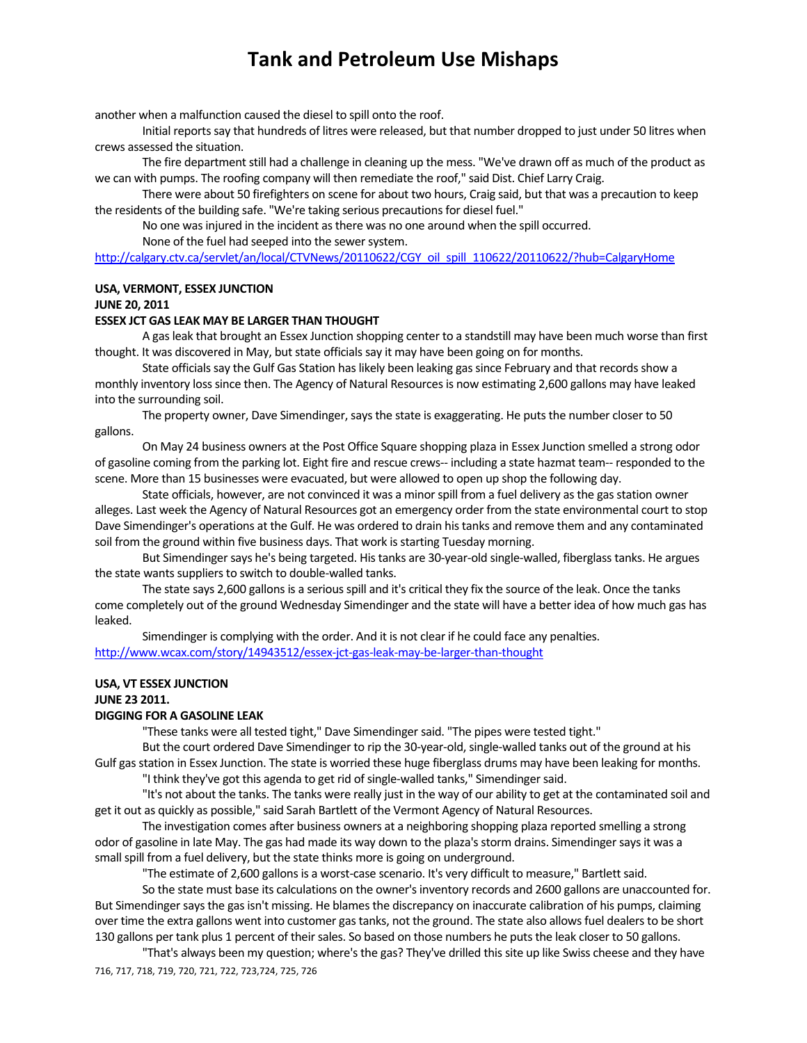another when a malfunction caused the diesel to spill onto the roof.

Initial reportssay that hundreds of litres were released, but that number dropped to just under 50 litres when crews assessed the situation.

The fire department still had a challenge in cleaning up the mess. "We've drawn off as much of the product as we can with pumps. The roofing company will then remediate the roof," said Dist. Chief Larry Craig.

There were about 50 firefighters on scene for about two hours, Craig said, but that was a precaution to keep the residents of the building safe. "We're taking serious precautions for diesel fuel."

No one wasinjured in the incident asthere was no one around when the spill occurred.

None of the fuel had seeped into the sewer system.

http://calgary.ctv.ca/servlet/an/local/CTVNews/20110622/CGY\_oil\_spill\_110622/20110622/?hub=CalgaryHome

### **USA, VERMONT, ESSEX JUNCTION**

**JUNE 20, 2011**

## **ESSEX JCT GAS LEAK MAY BE LARGER THAN THOUGHT**

A gasleak that brought an Essex Junction shopping center to a standstill may have been much worse than first thought. It was discovered in May, but state officials say it may have been going on for months.

State officials say the Gulf Gas Station has likely been leaking gas since February and that records show a monthly inventory losssince then. The Agency of Natural Resourcesis now estimating 2,600 gallons may have leaked into the surrounding soil.

The property owner, Dave Simendinger, says the state is exaggerating. He puts the number closer to 50 gallons.

On May 24 business owners at the Post Office Square shopping plaza in Essex Junction smelled a strong odor of gasoline coming from the parking lot. Eight fire and rescue crews-- including a state hazmat team-- responded to the scene. More than 15 businesses were evacuated, but were allowed to open up shop the following day.

State officials, however, are not convinced it was a minor spill from a fuel delivery as the gas station owner alleges. Last week the Agency of Natural Resources got an emergency order from the state environmental court to stop Dave Simendinger's operations at the Gulf. He was ordered to drain histanks and remove them and any contaminated soil from the ground within five business days. That work is starting Tuesday morning.

But Simendingersays he's being targeted. Histanks are 30‐year‐old single‐walled, fiberglasstanks. He argues the state wants suppliers to switch to double-walled tanks.

The state says 2,600 gallons is a serious spill and it's critical they fix the source of the leak. Once the tanks come completely out of the ground Wednesday Simendinger and the state will have a better idea of how much gas has leaked.

Simendinger is complying with the order. And it is not clear if he could face any penalties. http://www.wcax.com/story/14943512/essex-jct-gas-leak-may-be-larger-than-thought

### **USA, VT ESSEX JUNCTION JUNE 23 2011.**

### **DIGGING FOR A GASOLINE LEAK**

"These tanks were all tested tight," Dave Simendinger said. "The pipes were tested tight."

But the court ordered Dave Simendinger to rip the 30-year-old, single-walled tanks out of the ground at his Gulf gasstation in Essex Junction. The state is worried these huge fiberglass drums may have been leaking for months.

"I think they've got this agenda to get rid of single-walled tanks," Simendinger said.

"It's not about the tanks. The tanks were really just in the way of our ability to get at the contaminated soil and get it out as quickly as possible," said Sarah Bartlett of the Vermont Agency of Natural Resources.

The investigation comes after business owners at a neighboring shopping plaza reported smelling a strong odor of gasoline in late May. The gas had made its way down to the plaza's storm drains. Simendinger says it was a small spill from a fuel delivery, but the state thinks more is going on underground.

"The estimate of 2,600 gallons is a worst-case scenario. It's very difficult to measure," Bartlett said.

So the state must base its calculations on the owner's inventory records and 2600 gallons are unaccounted for. But Simendinger says the gas isn't missing. He blames the discrepancy on inaccurate calibration of his pumps, claiming over time the extra gallons went into customer gas tanks, not the ground. The state also allows fuel dealers to be short 130 gallons per tank plus 1 percent of their sales. So based on those numbers he puts the leak closer to 50 gallons.

716, 717, 718, 719, 720, 721, 722, 723,724, 725, 726 "That's always been my question; where's the gas? They've drilled this site up like Swiss cheese and they have